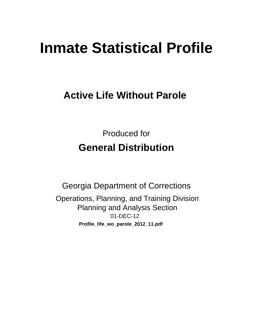# **Inmate Statistical Profile**

# **Active Life Without Parole**

**Produced for General Distribution** 

**Georgia Department of Corrections** Operations, Planning, and Training Division **Planning and Analysis Section** 01-DEC-12 Profile\_life\_wo\_parole\_2012\_11.pdf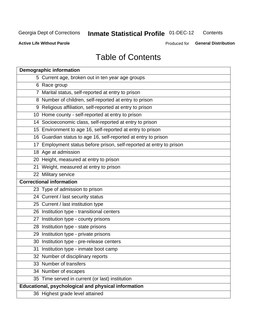#### **Inmate Statistical Profile 01-DEC-12** Contents

**Active Life Without Parole** 

Produced for General Distribution

# **Table of Contents**

| <b>Demographic information</b>                                       |
|----------------------------------------------------------------------|
| 5 Current age, broken out in ten year age groups                     |
| 6 Race group                                                         |
| 7 Marital status, self-reported at entry to prison                   |
| 8 Number of children, self-reported at entry to prison               |
| 9 Religious affiliation, self-reported at entry to prison            |
| 10 Home county - self-reported at entry to prison                    |
| 14 Socioeconomic class, self-reported at entry to prison             |
| 15 Environment to age 16, self-reported at entry to prison           |
| 16 Guardian status to age 16, self-reported at entry to prison       |
| 17 Employment status before prison, self-reported at entry to prison |
| 18 Age at admission                                                  |
| 20 Height, measured at entry to prison                               |
| 21 Weight, measured at entry to prison                               |
| 22 Military service                                                  |
| <b>Correctional information</b>                                      |
| 23 Type of admission to prison                                       |
| 24 Current / last security status                                    |
| 25 Current / last institution type                                   |
| 26 Institution type - transitional centers                           |
| 27 Institution type - county prisons                                 |
| 28 Institution type - state prisons                                  |
| 29 Institution type - private prisons                                |
| 30 Institution type - pre-release centers                            |
| 31 Institution type - inmate boot camp                               |
| 32 Number of disciplinary reports                                    |
| 33 Number of transfers                                               |
| 34 Number of escapes                                                 |
| 35 Time served in current (or last) institution                      |
| Educational, psychological and physical information                  |
| 36 Highest grade level attained                                      |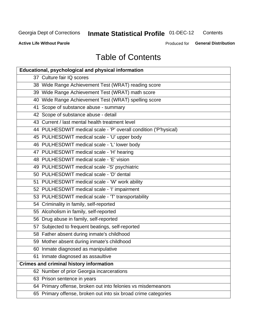# **Inmate Statistical Profile 01-DEC-12**

Contents

**Active Life Without Parole** 

Produced for General Distribution

# **Table of Contents**

| <b>Educational, psychological and physical information</b>       |
|------------------------------------------------------------------|
| 37 Culture fair IQ scores                                        |
| 38 Wide Range Achievement Test (WRAT) reading score              |
| 39 Wide Range Achievement Test (WRAT) math score                 |
| 40 Wide Range Achievement Test (WRAT) spelling score             |
| 41 Scope of substance abuse - summary                            |
| 42 Scope of substance abuse - detail                             |
| 43 Current / last mental health treatment level                  |
| 44 PULHESDWIT medical scale - 'P' overall condition ('P'hysical) |
| 45 PULHESDWIT medical scale - 'U' upper body                     |
| 46 PULHESDWIT medical scale - 'L' lower body                     |
| 47 PULHESDWIT medical scale - 'H' hearing                        |
| 48 PULHESDWIT medical scale - 'E' vision                         |
| 49 PULHESDWIT medical scale -'S' psychiatric                     |
| 50 PULHESDWIT medical scale - 'D' dental                         |
| 51 PULHESDWIT medical scale - 'W' work ability                   |
| 52 PULHESDWIT medical scale - 'I' impairment                     |
| 53 PULHESDWIT medical scale - 'T' transportability               |
| 54 Criminality in family, self-reported                          |
| 55 Alcoholism in family, self-reported                           |
| 56 Drug abuse in family, self-reported                           |
| 57 Subjected to frequent beatings, self-reported                 |
| 58 Father absent during inmate's childhood                       |
| 59 Mother absent during inmate's childhood                       |
| 60 Inmate diagnosed as manipulative                              |
| 61 Inmate diagnosed as assaultive                                |
| <b>Crimes and criminal history information</b>                   |
| 62 Number of prior Georgia incarcerations                        |
| 63 Prison sentence in years                                      |
| 64 Primary offense, broken out into felonies vs misdemeanors     |
| 65 Primary offense, broken out into six broad crime categories   |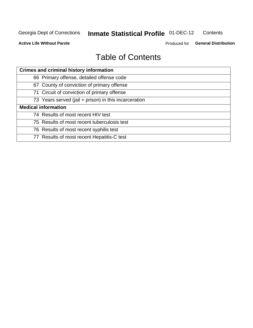#### **Inmate Statistical Profile 01-DEC-12** Contents

**Active Life Without Parole** 

Produced for General Distribution

# **Table of Contents**

| <b>Crimes and criminal history information</b>        |
|-------------------------------------------------------|
| 66 Primary offense, detailed offense code             |
| 67 County of conviction of primary offense            |
| 71 Circuit of conviction of primary offense           |
| 73 Years served (jail + prison) in this incarceration |
| <b>Medical information</b>                            |
| 74 Results of most recent HIV test                    |
| 75 Results of most recent tuberculosis test           |
| 76 Results of most recent syphilis test               |
| 77 Results of most recent Hepatitis-C test            |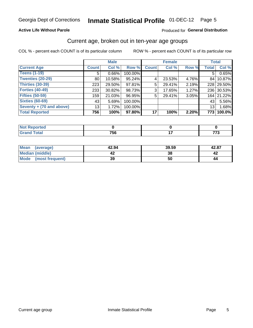#### Inmate Statistical Profile 01-DEC-12 Page 5

### **Active Life Without Parole**

### Produced for General Distribution

# Current age, broken out in ten-year age groups

COL % - percent each COUNT is of its particular column

|                          |                 | <b>Male</b> |         |                 | <b>Female</b> |       |                 | <b>Total</b> |
|--------------------------|-----------------|-------------|---------|-----------------|---------------|-------|-----------------|--------------|
| <b>Current Age</b>       | <b>Count</b>    | Col %       | Row %   | <b>Count</b>    | Col %         | Row % | <b>Total</b>    | Col %        |
| <b>Teens (1-19)</b>      | 5 <sup>1</sup>  | $0.66\%$    | 100.00% |                 |               |       | 5               | 0.65%        |
| <b>Twenties (20-29)</b>  | 80              | 10.58%      | 95.24%  | 4               | 23.53%        | 4.76% |                 | 84 10.87%    |
| <b>Thirties (30-39)</b>  | 223             | 29.50%      | 97.81%  | 5               | 29.41%        | 2.19% |                 | 228 29.50%   |
| <b>Forties (40-49)</b>   | 233             | 30.82%      | 98.73%  | 3 <sup>1</sup>  | 17.65%        | 1.27% |                 | 236 30.53%   |
| <b>Fifties (50-59)</b>   | 159             | 21.03%      | 96.95%  | 5               | 29.41%        | 3.05% |                 | 164 21.22%   |
| <b>Sixties (60-69)</b>   | 43              | 5.69%       | 100.00% |                 |               |       | 43              | 5.56%        |
| Seventy + (70 and above) | 13 <sub>1</sub> | 1.72%       | 100.00% |                 |               |       | 13 <sub>1</sub> | 1.68%        |
| <b>Total Reported</b>    | 756             | 100%        | 97.80%  | 17 <sup>1</sup> | 100%          | 2.20% | 773             | 100.0%       |

| Code <sup>r</sup><br>______ | フロハ<br>.u<br>__ | --<br>$\sim$ |
|-----------------------------|-----------------|--------------|

| <b>Mean</b><br>(average) | 42.94 | 39.59 | 42.87 |
|--------------------------|-------|-------|-------|
| Median (middle)          |       | 38    |       |
| Mode<br>(most frequent)  | 39    | 50    | 44    |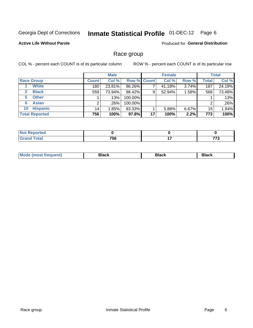#### **Inmate Statistical Profile 01-DEC-12** Page 6

### **Active Life Without Parole**

**Produced for General Distribution** 

### Race group

COL % - percent each COUNT is of its particular column

|                              |              | <b>Male</b> |             |    | <b>Female</b> |          |       | <b>Total</b> |
|------------------------------|--------------|-------------|-------------|----|---------------|----------|-------|--------------|
| <b>Race Group</b>            | <b>Count</b> | Col %       | Row % Count |    | Col %         | Row %    | Total | Col %        |
| <b>White</b>                 | 180          | 23.81%      | 96.26%      |    | 41.18%        | 3.74%    | 187   | 24.19%       |
| <b>Black</b><br>$\mathbf{2}$ | 559          | 73.94%      | 98.42%      | 9  | 52.94%        | 1.58%    | 568   | 73.48%       |
| <b>Other</b><br>5.           |              | $.13\%$     | 100.00%     |    |               |          |       | .13%         |
| <b>Asian</b><br>6            |              | .26%        | 100.00%     |    |               |          | 2     | .26%         |
| <b>Hispanic</b><br>10        | 14           | 1.85%       | 93.33%      |    | 5.88%         | $6.67\%$ | 15    | 1.94%        |
| <b>Total Reported</b>        | 756          | 100%        | 97.8%       | 17 | 100%          | 2.2%     | 773   | 100%         |

| rted                   |                              |                         |
|------------------------|------------------------------|-------------------------|
| <b>Total</b><br>______ | 75 <sub>C</sub><br>ັບບ<br>__ | $- - -$<br>70<br>$\sim$ |

| 3lack<br>Black<br>3lack<br>nuent) |
|-----------------------------------|
|-----------------------------------|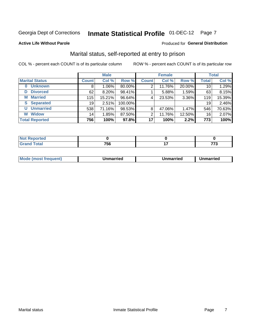# Inmate Statistical Profile 01-DEC-12 Page 7

#### **Active Life Without Parole**

#### Produced for General Distribution

# Marital status, self-reported at entry to prison

COL % - percent each COUNT is of its particular column

|                       |              | <b>Male</b> |         |                 | <b>Female</b> |        |                 | <b>Total</b> |
|-----------------------|--------------|-------------|---------|-----------------|---------------|--------|-----------------|--------------|
| <b>Marital Status</b> | <b>Count</b> | Col %       | Row %   | <b>Count</b>    | Col %         | Row %  | <b>Total</b>    | Col %        |
| <b>Unknown</b><br>0   | 8            | $1.06\%$    | 80.00%  | 2               | 11.76%        | 20.00% | 10 <sub>1</sub> | 1.29%        |
| <b>Divorced</b><br>D  | 62           | $8.20\%$    | 98.41%  |                 | 5.88%         | 1.59%  | 63              | 8.15%        |
| <b>Married</b><br>М   | 115          | 15.21%      | 96.64%  | 4               | 23.53%        | 3.36%  | 119             | 15.39%       |
| <b>Separated</b><br>S | 19           | 2.51%       | 100.00% |                 |               |        | 19              | 2.46%        |
| <b>Unmarried</b><br>U | 538          | 71.16%      | 98.53%  | 8               | 47.06%        | 1.47%  | 546             | 70.63%       |
| <b>Widow</b><br>W     | 14           | 1.85%       | 87.50%  | 2               | 11.76%        | 12.50% | 16              | 2.07%        |
| <b>Total Reported</b> | 756          | 100%        | 97.8%   | 17 <sup>1</sup> | 100%          | 2.2%   | 773             | 100%         |

| prtea<br>NOT          |           |  |
|-----------------------|-----------|--|
| $f \wedge f \wedge f$ | 75c<br>วง |  |

|  | <b>Mode</b><br>(most frequent) | Jnmarried | Unmarried | Unmarried |
|--|--------------------------------|-----------|-----------|-----------|
|--|--------------------------------|-----------|-----------|-----------|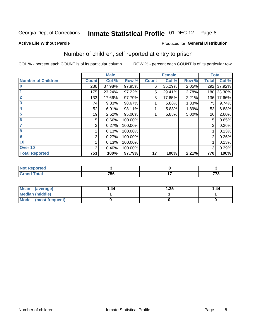# Inmate Statistical Profile 01-DEC-12 Page 8

#### **Active Life Without Parole**

### **Produced for General Distribution**

# Number of children, self reported at entry to prison

COL % - percent each COUNT is of its particular column

|                           |              | <b>Male</b> |         |              | <b>Female</b> |       | <b>Total</b> |            |
|---------------------------|--------------|-------------|---------|--------------|---------------|-------|--------------|------------|
| <b>Number of Children</b> | <b>Count</b> | Col %       | Row %   | <b>Count</b> | Col %         | Row % | <b>Total</b> | Col %      |
| $\bf{0}$                  | 286          | 37.98%      | 97.95%  | 6            | 35.29%        | 2.05% | 292          | 37.92%     |
|                           | 175          | 23.24%      | 97.22%  | 5            | 29.41%        | 2.78% |              | 180 23.38% |
| $\overline{2}$            | 133          | 17.66%      | 97.79%  | 3            | 17.65%        | 2.21% | 136          | 17.66%     |
| 3                         | 74           | 9.83%       | 98.67%  |              | 5.88%         | 1.33% | 75           | 9.74%      |
| 4                         | 52           | 6.91%       | 98.11%  |              | 5.88%         | 1.89% | 53           | 6.88%      |
| 5                         | 19           | 2.52%       | 95.00%  |              | 5.88%         | 5.00% | 20           | 2.60%      |
| 6                         | 5            | 0.66%       | 100.00% |              |               |       | 5            | 0.65%      |
| 7                         | 2            | 0.27%       | 100.00% |              |               |       | 2            | 0.26%      |
| 8                         |              | 0.13%       | 100.00% |              |               |       |              | 0.13%      |
| $\boldsymbol{9}$          | 2            | 0.27%       | 100.00% |              |               |       | 2            | 0.26%      |
| 10                        |              | 0.13%       | 100.00% |              |               |       |              | 0.13%      |
| Over 10                   | 3            | 0.40%       | 100.00% |              |               |       | 3            | 0.39%      |
| <b>Total Reported</b>     | 753          | 100%        | 97.79%  | 17           | 100%          | 2.21% | 770          | 100%       |

| neo    |     |     |
|--------|-----|-----|
| $\sim$ | 756 | --- |

| <b>Mean</b><br>(average) | 1.44 | 1.35 | 1.44 |
|--------------------------|------|------|------|
| <b>Median (middle)</b>   |      |      |      |
| Mode (most frequent)     |      |      |      |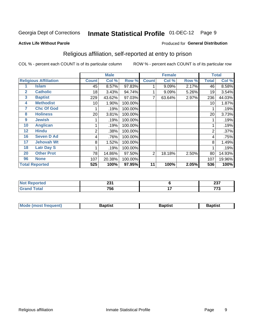#### **Inmate Statistical Profile 01-DEC-12** Page 9

#### **Active Life Without Parole**

#### Produced for General Distribution

# Religious affiliation, self-reported at entry to prison

COL % - percent each COUNT is of its particular column

|              |                              |              | <b>Male</b> |         |              | <b>Female</b> |       |              | <b>Total</b> |
|--------------|------------------------------|--------------|-------------|---------|--------------|---------------|-------|--------------|--------------|
|              | <b>Religious Affiliation</b> | <b>Count</b> | Col %       | Row %   | <b>Count</b> | Col %         | Row % | <b>Total</b> | Col %        |
|              | <b>Islam</b>                 | 45           | 8.57%       | 97.83%  |              | 9.09%         | 2.17% | 46           | 8.58%        |
| $\mathbf{2}$ | <b>Catholic</b>              | 18           | 3.43%       | 94.74%  |              | 9.09%         | 5.26% | 19           | 3.54%        |
| 3            | <b>Baptist</b>               | 229          | 43.62%      | 97.03%  |              | 63.64%        | 2.97% | 236          | 44.03%       |
| 4            | <b>Methodist</b>             | 10           | 1.90%       | 100.00% |              |               |       | 10           | 1.87%        |
| 7            | <b>Chc Of God</b>            |              | .19%        | 100.00% |              |               |       |              | .19%         |
| 8            | <b>Holiness</b>              | 20           | 3.81%       | 100.00% |              |               |       | 20           | 3.73%        |
| 9            | <b>Jewish</b>                |              | .19%        | 100.00% |              |               |       |              | .19%         |
| 10           | <b>Anglican</b>              |              | .19%        | 100.00% |              |               |       |              | .19%         |
| 12           | <b>Hindu</b>                 | 2            | .38%        | 100.00% |              |               |       | 2            | .37%         |
| 16           | <b>Seven D Ad</b>            | 4            | .76%        | 100.00% |              |               |       | 4            | .75%         |
| 17           | <b>Jehovah Wt</b>            | 8            | 1.52%       | 100.00% |              |               |       | 8            | 1.49%        |
| 18           | <b>Latr Day S</b>            |              | .19%        | 100.00% |              |               |       |              | .19%         |
| 20           | <b>Other Prot</b>            | 78           | 14.86%      | 97.50%  | 2            | 18.18%        | 2.50% | 80           | 14.93%       |
| 96           | <b>None</b>                  | 107          | 20.38%      | 100.00% |              |               |       | 107          | 19.96%       |
|              | <b>Total Reported</b>        | 525          | 100%        | 97.95%  | 11           | 100%          | 2.05% | 536          | 100%         |

| rtea  | <b>004</b>  |            | 027                  |
|-------|-------------|------------|----------------------|
| .     | Lυ          |            | 2J I                 |
| _____ | 750<br>סכ ו | . .<br>. . | ---<br>. .<br>$\sim$ |

| Mode (most frequent) | Baptist | <b>Baptist</b> | aptıst |
|----------------------|---------|----------------|--------|
|                      |         |                |        |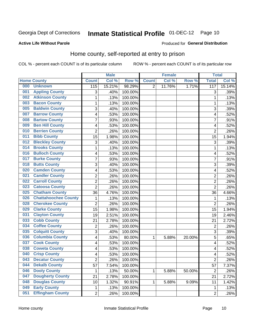# Inmate Statistical Profile 01-DEC-12 Page 10

### **Active Life Without Parole**

#### Produced for General Distribution

# Home county, self-reported at entry to prison

COL % - percent each COUNT is of its particular column

|     |                             |                | <b>Male</b> |         |              | <b>Female</b> |        | <b>Total</b>            |        |
|-----|-----------------------------|----------------|-------------|---------|--------------|---------------|--------|-------------------------|--------|
|     | <b>Home County</b>          | <b>Count</b>   | Col %       | Row %   | <b>Count</b> | Col %         | Row %  | <b>Total</b>            | Col %  |
| 000 | <b>Unknown</b>              | 115            | 15.21%      | 98.29%  | 2            | 11.76%        | 1.71%  | 117                     | 15.14% |
| 001 | <b>Appling County</b>       | 3              | .40%        | 100.00% |              |               |        | 3                       | .39%   |
| 002 | <b>Atkinson County</b>      | $\mathbf 1$    | .13%        | 100.00% |              |               |        | 1                       | .13%   |
| 003 | <b>Bacon County</b>         | $\mathbf 1$    | .13%        | 100.00% |              |               |        | 1                       | .13%   |
| 005 | <b>Baldwin County</b>       | 3              | .40%        | 100.00% |              |               |        | 3                       | .39%   |
| 007 | <b>Barrow County</b>        | 4              | .53%        | 100.00% |              |               |        | 4                       | .52%   |
| 008 | <b>Bartow County</b>        | $\overline{7}$ | .93%        | 100.00% |              |               |        | 7                       | .91%   |
| 009 | <b>Ben Hill County</b>      | 4              | .53%        | 100.00% |              |               |        | 4                       | .52%   |
| 010 | <b>Berrien County</b>       | $\overline{2}$ | .26%        | 100.00% |              |               |        | $\overline{2}$          | .26%   |
| 011 | <b>Bibb County</b>          | 15             | 1.98%       | 100.00% |              |               |        | 15                      | 1.94%  |
| 012 | <b>Bleckley County</b>      | 3              | .40%        | 100.00% |              |               |        | 3                       | .39%   |
| 014 | <b>Brooks County</b>        | $\mathbf 1$    | .13%        | 100.00% |              |               |        | 1                       | .13%   |
| 016 | <b>Bulloch County</b>       | 4              | .53%        | 100.00% |              |               |        | 4                       | .52%   |
| 017 | <b>Burke County</b>         | $\overline{7}$ | .93%        | 100.00% |              |               |        | 7                       | .91%   |
| 018 | <b>Butts County</b>         | 3              | .40%        | 100.00% |              |               |        | 3                       | .39%   |
| 020 | <b>Camden County</b>        | 4              | .53%        | 100.00% |              |               |        | 4                       | .52%   |
| 021 | <b>Candler County</b>       | $\overline{2}$ | .26%        | 100.00% |              |               |        | $\overline{2}$          | .26%   |
| 022 | <b>Carroll County</b>       | $\overline{c}$ | .26%        | 100.00% |              |               |        | $\overline{2}$          | .26%   |
| 023 | <b>Catoosa County</b>       | $\overline{2}$ | .26%        | 100.00% |              |               |        | $\overline{2}$          | .26%   |
| 025 | <b>Chatham County</b>       | 36             | 4.76%       | 100.00% |              |               |        | 36                      | 4.66%  |
| 026 | <b>Chattahoochee County</b> | $\mathbf 1$    | .13%        | 100.00% |              |               |        | $\mathbf 1$             | .13%   |
| 028 | <b>Cherokee County</b>      | $\overline{2}$ | .26%        | 100.00% |              |               |        | $\overline{2}$          | .26%   |
| 029 | <b>Clarke County</b>        | 15             | 1.98%       | 100.00% |              |               |        | 15                      | 1.94%  |
| 031 | <b>Clayton County</b>       | 19             | 2.51%       | 100.00% |              |               |        | 19                      | 2.46%  |
| 033 | <b>Cobb County</b>          | 21             | 2.78%       | 100.00% |              |               |        | 21                      | 2.72%  |
| 034 | <b>Coffee County</b>        | $\overline{c}$ | .26%        | 100.00% |              |               |        | $\overline{2}$          | .26%   |
| 035 | <b>Colquitt County</b>      | 3              | .40%        | 100.00% |              |               |        | 3                       | .39%   |
| 036 | <b>Columbia County</b>      | 4              | .53%        | 80.00%  | 1            | 5.88%         | 20.00% | 5                       | .65%   |
| 037 | <b>Cook County</b>          | 4              | .53%        | 100.00% |              |               |        | 4                       | .52%   |
| 038 | <b>Coweta County</b>        | 4              | .53%        | 100.00% |              |               |        | $\overline{\mathbf{4}}$ | .52%   |
| 040 | <b>Crisp County</b>         | 4              | .53%        | 100.00% |              |               |        | 4                       | .52%   |
| 043 | <b>Decatur County</b>       | 2              | .26%        | 100.00% |              |               |        | $\overline{2}$          | .26%   |
| 044 | <b>Dekalb County</b>        | 57             | 7.54%       | 100.00% |              |               |        | 57                      | 7.37%  |
| 046 | <b>Dooly County</b>         | 1              | .13%        | 50.00%  | 1            | 5.88%         | 50.00% | $\boldsymbol{2}$        | .26%   |
| 047 | <b>Dougherty County</b>     | 21             | 2.78%       | 100.00% |              |               |        | 21                      | 2.72%  |
| 048 | <b>Douglas County</b>       | 10             | 1.32%       | 90.91%  | 1            | 5.88%         | 9.09%  | 11                      | 1.42%  |
| 049 | <b>Early County</b>         | $\mathbf{1}$   | .13%        | 100.00% |              |               |        | $\mathbf{1}$            | .13%   |
| 051 | <b>Effingham County</b>     | $\overline{2}$ | .26%        | 100.00% |              |               |        | $\overline{2}$          | .26%   |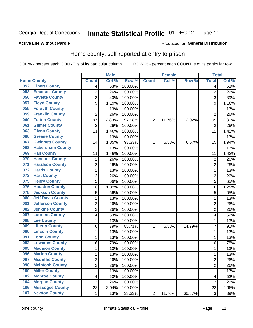#### **Inmate Statistical Profile 01-DEC-12** Page 11

#### **Active Life Without Parole**

#### Produced for General Distribution

# Home county, self-reported at entry to prison

COL % - percent each COUNT is of its particular column

|     |                          |                         | <b>Male</b> |         |                | <b>Female</b> |        | <b>Total</b>   |        |
|-----|--------------------------|-------------------------|-------------|---------|----------------|---------------|--------|----------------|--------|
|     | <b>Home County</b>       | <b>Count</b>            | Col %       | Row %   | <b>Count</b>   | Col %         | Row %  | <b>Total</b>   | Col %  |
| 052 | <b>Elbert County</b>     | 4                       | .53%        | 100.00% |                |               |        | 4              | .52%   |
| 053 | <b>Emanuel County</b>    | $\overline{2}$          | .26%        | 100.00% |                |               |        | $\overline{2}$ | .26%   |
| 056 | <b>Fayette County</b>    | 3                       | .40%        | 100.00% |                |               |        | 3              | .39%   |
| 057 | <b>Floyd County</b>      | 9                       | 1.19%       | 100.00% |                |               |        | 9              | 1.16%  |
| 058 | <b>Forsyth County</b>    | 1                       | .13%        | 100.00% |                |               |        | 1              | .13%   |
| 059 | <b>Franklin County</b>   | $\overline{2}$          | .26%        | 100.00% |                |               |        | $\overline{2}$ | .26%   |
| 060 | <b>Fulton County</b>     | 97                      | 12.83%      | 97.98%  | $\overline{2}$ | 11.76%        | 2.02%  | 99             | 12.81% |
| 061 | <b>Gilmer County</b>     | $\overline{2}$          | .26%        | 100.00% |                |               |        | 2              | .26%   |
| 063 | <b>Glynn County</b>      | 11                      | 1.46%       | 100.00% |                |               |        | 11             | 1.42%  |
| 066 | <b>Greene County</b>     | 1                       | .13%        | 100.00% |                |               |        | 1              | .13%   |
| 067 | <b>Gwinnett County</b>   | 14                      | 1.85%       | 93.33%  | 1              | 5.88%         | 6.67%  | 15             | 1.94%  |
| 068 | <b>Habersham County</b>  | 1                       | .13%        | 100.00% |                |               |        | 1              | .13%   |
| 069 | <b>Hall County</b>       | 11                      | 1.46%       | 100.00% |                |               |        | 11             | 1.42%  |
| 070 | <b>Hancock County</b>    | $\mathbf 2$             | .26%        | 100.00% |                |               |        | 2              | .26%   |
| 071 | <b>Haralson County</b>   | $\overline{2}$          | .26%        | 100.00% |                |               |        | $\overline{2}$ | .26%   |
| 072 | <b>Harris County</b>     | 1                       | .13%        | 100.00% |                |               |        | 1              | .13%   |
| 073 | <b>Hart County</b>       | $\overline{2}$          | .26%        | 100.00% |                |               |        | $\overline{2}$ | .26%   |
| 075 | <b>Henry County</b>      | 5                       | .66%        | 100.00% |                |               |        | 5              | .65%   |
| 076 | <b>Houston County</b>    | 10                      | 1.32%       | 100.00% |                |               |        | 10             | 1.29%  |
| 078 | <b>Jackson County</b>    | 5                       | .66%        | 100.00% |                |               |        | 5              | .65%   |
| 080 | <b>Jeff Davis County</b> | $\mathbf{1}$            | .13%        | 100.00% |                |               |        | 1              | .13%   |
| 081 | <b>Jefferson County</b>  | $\overline{2}$          | .26%        | 100.00% |                |               |        | $\overline{2}$ | .26%   |
| 082 | <b>Jenkins County</b>    | $\overline{2}$          | .26%        | 100.00% |                |               |        | $\overline{2}$ | .26%   |
| 087 | <b>Laurens County</b>    | $\overline{\mathbf{4}}$ | .53%        | 100.00% |                |               |        | 4              | .52%   |
| 088 | <b>Lee County</b>        | $\mathbf 1$             | .13%        | 100.00% |                |               |        | 1              | .13%   |
| 089 | <b>Liberty County</b>    | 6                       | .79%        | 85.71%  | 1              | 5.88%         | 14.29% | 7              | .91%   |
| 090 | <b>Lincoln County</b>    | $\mathbf 1$             | .13%        | 100.00% |                |               |        | 1              | .13%   |
| 091 | <b>Long County</b>       | $\mathbf{1}$            | .13%        | 100.00% |                |               |        | 1              | .13%   |
| 092 | <b>Lowndes County</b>    | 6                       | .79%        | 100.00% |                |               |        | 6              | .78%   |
| 095 | <b>Madison County</b>    | 1                       | .13%        | 100.00% |                |               |        | 1              | .13%   |
| 096 | <b>Marion County</b>     | $\mathbf{1}$            | .13%        | 100.00% |                |               |        | 1              | .13%   |
| 097 | <b>Mcduffie County</b>   | 2                       | .26%        | 100.00% |                |               |        | 2              | .26%   |
| 098 | <b>Mcintosh County</b>   | $\overline{2}$          | .26%        | 100.00% |                |               |        | 2              | .26%   |
| 100 | <b>Miller County</b>     | 1                       | .13%        | 100.00% |                |               |        | 1              | .13%   |
| 102 | <b>Monroe County</b>     | $\overline{\mathbf{4}}$ | .53%        | 100.00% |                |               |        | 4              | .52%   |
| 104 | <b>Morgan County</b>     | $\overline{2}$          | .26%        | 100.00% |                |               |        | $\overline{2}$ | .26%   |
| 106 | <b>Muscogee County</b>   | 23                      | 3.04%       | 100.00% |                |               |        | 23             | 2.98%  |
| 107 | <b>Newton County</b>     | 1                       | .13%        | 33.33%  | $\overline{2}$ | 11.76%        | 66.67% | 3              | .39%   |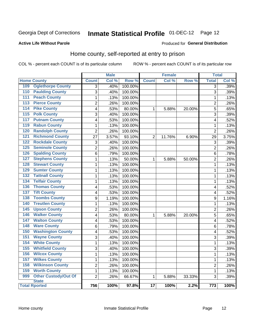# Inmate Statistical Profile 01-DEC-12 Page 12

#### **Active Life Without Parole**

#### Produced for General Distribution

# Home county, self-reported at entry to prison

COL % - percent each COUNT is of its particular column

|                                                    |                | <b>Male</b> |         |                 | <b>Female</b> |        | <b>Total</b>     |       |
|----------------------------------------------------|----------------|-------------|---------|-----------------|---------------|--------|------------------|-------|
| <b>Home County</b>                                 | <b>Count</b>   | Col %       | Row %   | <b>Count</b>    | Col %         | Row %  | <b>Total</b>     | Col % |
| 109<br><b>Oglethorpe County</b>                    | 3              | .40%        | 100.00% |                 |               |        | $\overline{3}$   | .39%  |
| <b>Paulding County</b><br>110                      | 3              | .40%        | 100.00% |                 |               |        | 3                | .39%  |
| <b>Peach County</b><br>$\overline{111}$            | $\mathbf 1$    | .13%        | 100.00% |                 |               |        | 1                | .13%  |
| <b>Pierce County</b><br>113                        | $\overline{2}$ | .26%        | 100.00% |                 |               |        | $\overline{2}$   | .26%  |
| <b>Pike County</b><br>114                          | 4              | .53%        | 80.00%  | $\mathbf{1}$    | 5.88%         | 20.00% | 5                | .65%  |
| <b>Polk County</b><br>115                          | 3              | .40%        | 100.00% |                 |               |        | 3                | .39%  |
| <b>Putnam County</b><br>117                        | 4              | .53%        | 100.00% |                 |               |        | 4                | .52%  |
| <b>Rabun County</b><br>119                         | 1              | .13%        | 100.00% |                 |               |        | 1                | .13%  |
| <b>Randolph County</b><br>120                      | $\overline{2}$ | .26%        | 100.00% |                 |               |        | $\overline{2}$   | .26%  |
| <b>Richmond County</b><br>121                      | 27             | 3.57%       | 93.10%  | $\overline{2}$  | 11.76%        | 6.90%  | 29               | 3.75% |
| 122<br><b>Rockdale County</b>                      | 3              | .40%        | 100.00% |                 |               |        | 3                | .39%  |
| 125<br><b>Seminole County</b>                      | $\overline{2}$ | .26%        | 100.00% |                 |               |        | $\overline{2}$   | .26%  |
| <b>Spalding County</b><br>126                      | 6              | .79%        | 100.00% |                 |               |        | 6                | .78%  |
| <b>Stephens County</b><br>127                      | $\mathbf{1}$   | .13%        | 50.00%  | 1               | 5.88%         | 50.00% | $\overline{c}$   | .26%  |
| <b>Stewart County</b><br>128                       | $\mathbf{1}$   | .13%        | 100.00% |                 |               |        | 1                | .13%  |
| <b>Sumter County</b><br>129                        | $\mathbf{1}$   | .13%        | 100.00% |                 |               |        | 1                | .13%  |
| <b>Tattnall County</b><br>132                      | $\mathbf{1}$   | .13%        | 100.00% |                 |               |        | $\mathbf 1$      | .13%  |
| <b>Telfair County</b><br>134                       | $\mathbf 1$    | .13%        | 100.00% |                 |               |        | 1                | .13%  |
| <b>Thomas County</b><br>136                        | 4              | .53%        | 100.00% |                 |               |        | 4                | .52%  |
| <b>Tift County</b><br>137                          | 4              | .53%        | 100.00% |                 |               |        | 4                | .52%  |
| <b>Toombs County</b><br>138                        | 9              | 1.19%       | 100.00% |                 |               |        | 9                | 1.16% |
| <b>Treutlen County</b><br>140                      | $\mathbf{1}$   | .13%        | 100.00% |                 |               |        | 1                | .13%  |
| <b>Upson County</b><br>$\overline{145}$            | $\overline{2}$ | .26%        | 100.00% |                 |               |        | $\overline{2}$   | .26%  |
| <b>Walker County</b><br>146                        | 4              | .53%        | 80.00%  | $\mathbf{1}$    | 5.88%         | 20.00% | 5                | .65%  |
| <b>Walton County</b><br>147                        | 4              | .53%        | 100.00% |                 |               |        | 4                | .52%  |
| <b>Ware County</b><br>148                          | 6              | .79%        | 100.00% |                 |               |        | 6                | .78%  |
| <b>Washington County</b><br>150                    | 4              | .53%        | 100.00% |                 |               |        | 4                | .52%  |
| <b>Wayne County</b><br>151                         | 3              | .40%        | 100.00% |                 |               |        | 3                | .39%  |
| <b>White County</b><br>154                         | $\mathbf{1}$   | .13%        | 100.00% |                 |               |        | $\mathbf 1$      | .13%  |
| <b>Whitfield County</b><br>155                     | $\overline{3}$ | .40%        | 100.00% |                 |               |        | 3                | .39%  |
| <b>Wilcox County</b><br>156                        | $\mathbf{1}$   | .13%        | 100.00% |                 |               |        | 1                | .13%  |
| <b>Wilkes County</b><br>157                        | $\mathbf{1}$   | .13%        | 100.00% |                 |               |        | $\mathbf 1$      | .13%  |
| <b>Wilkinson County</b><br>158                     | $\overline{c}$ | .26%        | 100.00% |                 |               |        | $\overline{c}$   | .26%  |
| <b>Worth County</b><br>159                         | $\mathbf{1}$   | .13%        | 100.00% |                 |               |        | 1                | .13%  |
| <b>Other Custody/Out Of</b><br>999<br><b>State</b> | $\overline{2}$ | .26%        | 66.67%  | 1               | 5.88%         | 33.33% | 3                | .39%  |
| <b>Total Rported</b>                               | 756            | 100%        | 97.8%   | $\overline{17}$ | 100%          | 2.2%   | $\overline{773}$ | 100%  |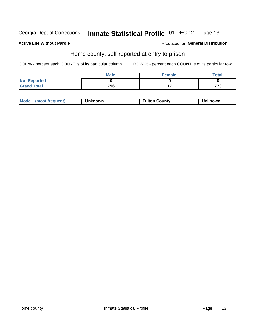# Inmate Statistical Profile 01-DEC-12 Page 13

### **Active Life Without Parole**

#### Produced for General Distribution

# Home county, self-reported at entry to prison

COL % - percent each COUNT is of its particular column

|                     | <b>Male</b> | <b>Female</b> | Total      |
|---------------------|-------------|---------------|------------|
| <b>Not Reported</b> |             |               |            |
| <b>Grand Total</b>  | 756         |               | $77^\circ$ |

| Mode<br>(most frequent)<br>າknown | <b>Fulton County</b> | าknown |
|-----------------------------------|----------------------|--------|
|-----------------------------------|----------------------|--------|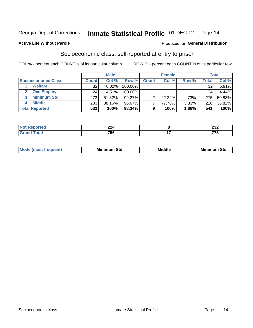# Inmate Statistical Profile 01-DEC-12 Page 14

#### **Active Life Without Parole**

#### Produced for General Distribution

# Socioeconomic class, self-reported at entry to prison

COL % - percent each COUNT is of its particular column

|                       |              | <b>Male</b> |            |              | <b>Female</b> |       |       | <b>Total</b> |
|-----------------------|--------------|-------------|------------|--------------|---------------|-------|-------|--------------|
| Socioeconomic Class   | <b>Count</b> | Col %       | Row %      | <b>Count</b> | Col %         | Row % | Total | Col %        |
| <b>Welfare</b>        | 32           | 6.02%       | 100.00%    |              |               |       | 32    | 5.91%        |
| <b>Occ Employ</b>     | 24           | 4.51%       | $100.00\%$ |              |               |       | 24    | 4.44%        |
| <b>Minimum Std</b>    | 273          | 51.32%      | $99.27\%$  |              | $22.22\%$     | .73%  | 275   | 50.83%       |
| <b>Middle</b>         | 203          | 38.16%      | 96.67%     |              | 77.78%        | 3.33% | 210   | 38.82%       |
| <b>Total Reported</b> | 532          | 100%        | 98.34%     |              | 100%          | 1.66% | 541   | 100%         |

|       | າາ 1<br>224 | $\sim$<br>ZJZ |
|-------|-------------|---------------|
| _____ | 756<br>__   | ---<br>$\sim$ |

|  | Mo | Minin<br>Std<br>$- - - -$ | <b>Middle</b> | Min<br>Std<br>. |
|--|----|---------------------------|---------------|-----------------|
|--|----|---------------------------|---------------|-----------------|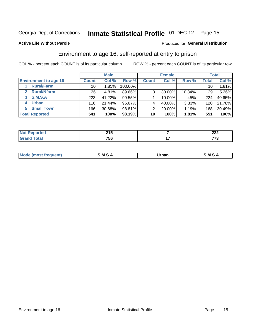# Inmate Statistical Profile 01-DEC-12 Page 15

### **Active Life Without Parole**

#### Produced for General Distribution

# Environment to age 16, self-reported at entry to prison

COL % - percent each COUNT is of its particular column

|                                    |                 | <b>Male</b> |         |              | <b>Female</b> |        |                 | <b>Total</b> |
|------------------------------------|-----------------|-------------|---------|--------------|---------------|--------|-----------------|--------------|
| <b>Environment to age 16</b>       | <b>Count</b>    | Col %       | Row %   | <b>Count</b> | Col %         | Row %  | <b>Total</b>    | Col %        |
| <b>Rural/Farm</b>                  | 10              | 1.85%       | 100.00% |              |               |        | 10 <sub>1</sub> | 1.81%        |
| <b>Rural/Nfarm</b><br>$\mathbf{2}$ | 26 <sub>1</sub> | 4.81%       | 89.66%  | 3            | 30.00%        | 10.34% | 29              | 5.26%        |
| S.M.S.A<br>3                       | 223             | 41.22%      | 99.55%  |              | 10.00%        | .45%   | 224             | 40.65%       |
| <b>Urban</b><br>4                  | 116             | 21.44%      | 96.67%  |              | 40.00%        | 3.33%  | 120             | 21.78%       |
| 5 Small Town                       | 166             | 30.68%      | 98.81%  | っ            | 20.00%        | 1.19%  | 168             | 30.49%       |
| <b>Total Reported</b>              | 541             | 100%        | 98.19%  | 10           | 100%          | 1.81%  | 551             | 100%         |

| ∤rted<br>Redu<br>$\sim$ | <b>94 E</b><br><b>LIJ</b> | ົາລາ<br>LLL |
|-------------------------|---------------------------|-------------|
|                         | 756                       | ---<br>.    |

| $Mc$ | M | <b>Jrhan</b> | M.     |
|------|---|--------------|--------|
|      |   | _____        | ______ |
|      |   |              |        |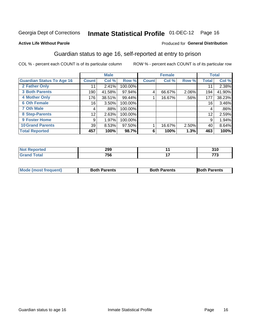# Inmate Statistical Profile 01-DEC-12 Page 16

### **Active Life Without Parole**

#### Produced for General Distribution

# Guardian status to age 16, self-reported at entry to prison

COL % - percent each COUNT is of its particular column

|                                  |                 | <b>Male</b> |         |              | <b>Female</b> |         |              | <b>Total</b> |
|----------------------------------|-----------------|-------------|---------|--------------|---------------|---------|--------------|--------------|
| <b>Guardian Status To Age 16</b> | <b>Count</b>    | Col %       | Row %   | <b>Count</b> | Col %         | Row %   | <b>Total</b> | Col %        |
| 2 Father Only                    | 11              | 2.41%       | 100.00% |              |               |         | 11           | 2.38%        |
| <b>3 Both Parents</b>            | 190             | 41.58%      | 97.94%  | 4            | 66.67%        | 2.06%   | 194          | 41.90%       |
| 4 Mother Only                    | 176             | 38.51%      | 99.44%  |              | 16.67%        | $.56\%$ | 177          | 38.23%       |
| <b>6 Oth Female</b>              | 16              | 3.50%       | 100.00% |              |               |         | 16           | 3.46%        |
| <b>7 Oth Male</b>                | 4               | .88%        | 100.00% |              |               |         | 4            | $.86\%$      |
| 8 Step-Parents                   | 12 <sub>2</sub> | 2.63%       | 100.00% |              |               |         | 12           | 2.59%        |
| <b>9 Foster Home</b>             | 9               | 1.97%       | 100.00% |              |               |         | 9            | 1.94%        |
| <b>10 Grand Parents</b>          | 39              | 8.53%       | 97.50%  |              | 16.67%        | 2.50%   | 40           | 8.64%        |
| <b>Total Reported</b>            | 457             | 100%        | 98.7%   | 6            | 100%          | 1.3%    | 463          | 100%         |

| ted   | 299       | 310     |
|-------|-----------|---------|
| Total | 75C<br>วง | 77<br>- |

| <b>Mode (most frequent)</b> | <b>Both Parents</b> | <b>Both Parents</b> | <b>Both Parents</b> |
|-----------------------------|---------------------|---------------------|---------------------|
|                             |                     |                     |                     |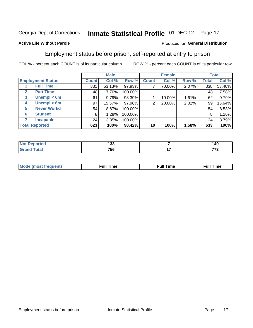#### **Inmate Statistical Profile 01-DEC-12** Page 17

### **Active Life Without Parole**

#### Produced for General Distribution

# Employment status before prison, self-reported at entry to prison

COL % - percent each COUNT is of its particular column

|                                  |              | <b>Male</b> |         |              | <b>Female</b> |       |              | <b>Total</b> |
|----------------------------------|--------------|-------------|---------|--------------|---------------|-------|--------------|--------------|
| <b>Employment Status</b>         | <b>Count</b> | Col %       | Row %   | <b>Count</b> | Col %         | Row % | <b>Total</b> | Col %        |
| <b>Full Time</b>                 | 331          | 53.13%      | 97.93%  | 7            | 70.00%        | 2.07% | 338          | 53.40%       |
| <b>Part Time</b><br>$\mathbf{2}$ | 48           | 7.70%       | 100.00% |              |               |       | 48           | 7.58%        |
| Unempl $<$ 6m<br>3               | 61           | 9.79%       | 98.39%  |              | 10.00%        | 1.61% | 62           | 9.79%        |
| Unempl > 6m<br>4                 | 97           | 15.57%      | 97.98%  | 2            | 20.00%        | 2.02% | 99           | 15.64%       |
| <b>Never Workd</b><br>5          | 54           | 8.67%       | 100.00% |              |               |       | 54           | 8.53%        |
| <b>Student</b><br>6              | 8            | 1.28%       | 100.00% |              |               |       | 8            | 1.26%        |
| <b>Incapable</b>                 | 24           | 3.85%       | 100.00% |              |               |       | 24           | 3.79%        |
| <b>Total Reported</b>            | 623          | 100%        | 98.42%  | 10           | 100%          | 1.58% | 633          | 100%         |

| NI.<br>тео | "າ<br>טטו | 140 |
|------------|-----------|-----|
|            | 756       | 770 |

| Mc | ∙u∥<br>----<br>ıme | ίuΙ<br>Πmε |
|----|--------------------|------------|
|    |                    |            |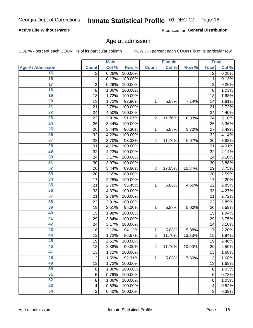# Inmate Statistical Profile 01-DEC-12 Page 18

### **Active Life Without Parole**

Produced for General Distribution

### Age at admission

COL % - percent each COUNT is of its particular column

|                         |                 | <b>Male</b> |         |                | <b>Female</b> |        |                | <b>Total</b> |
|-------------------------|-----------------|-------------|---------|----------------|---------------|--------|----------------|--------------|
| <b>Age At Admission</b> | <b>Count</b>    | Col %       | Row %   | <b>Count</b>   | Col %         | Row %  | <b>Total</b>   | Col %        |
| 15                      | 2               | 0.26%       | 100.00% |                |               |        | 2              | 0.26%        |
| 16                      | 1               | 0.13%       | 100.00% |                |               |        | $\mathbf{1}$   | 0.13%        |
| $\overline{17}$         | $\overline{c}$  | 0.26%       | 100.00% |                |               |        | $\overline{2}$ | 0.26%        |
| 18                      | 8               | 1.06%       | 100.00% |                |               |        | 8              | 1.03%        |
| 19                      | 13              | 1.72%       | 100.00% |                |               |        | 13             | 1.68%        |
| $\overline{20}$         | 13              | 1.72%       | 92.86%  | 1              | 5.88%         | 7.14%  | 14             | 1.81%        |
| 21                      | 21              | 2.78%       | 100.00% |                |               |        | 21             | 2.72%        |
| 22                      | 34              | 4.50%       | 100.00% |                |               |        | 34             | 4.40%        |
| 23                      | 22              | 2.91%       | 91.67%  | $\overline{2}$ | 11.76%        | 8.33%  | 24             | 3.10%        |
| 24                      | 26              | 3.44%       | 100.00% |                |               |        | 26             | 3.36%        |
| $\overline{25}$         | 26              | 3.44%       | 96.30%  | 1              | 5.88%         | 3.70%  | 27             | 3.49%        |
| 26                      | 32              | 4.23%       | 100.00% |                |               |        | 32             | 4.14%        |
| $\overline{27}$         | 28              | 3.70%       | 93.33%  | $\overline{2}$ | 11.76%        | 6.67%  | 30             | 3.88%        |
| 28                      | 31              | 4.10%       | 100.00% |                |               |        | 31             | 4.01%        |
| 29                      | 32              | 4.23%       | 100.00% |                |               |        | 32             | 4.14%        |
| 30                      | 24              | 3.17%       | 100.00% |                |               |        | 24             | 3.10%        |
| $\overline{31}$         | 30              | 3.97%       | 100.00% |                |               |        | 30             | 3.88%        |
| 32                      | 26              | 3.44%       | 89.66%  | 3              | 17.65%        | 10.34% | 29             | 3.75%        |
| 33                      | 20              | 2.65%       | 100.00% |                |               |        | 20             | 2.59%        |
| 34                      | 17              | 2.25%       | 100.00% |                |               |        | 17             | 2.20%        |
| 35                      | 21              | 2.78%       | 95.45%  | 1              | 5.88%         | 4.55%  | 22             | 2.85%        |
| 36                      | 33              | 4.37%       | 100.00% |                |               |        | 33             | 4.27%        |
| $\overline{37}$         | 21              | 2.78%       | 100.00% |                |               |        | 21             | 2.72%        |
| 38                      | 22              | 2.91%       | 100.00% |                |               |        | 22             | 2.85%        |
| 39                      | 19              | 2.51%       | 95.00%  | 1              | 5.88%         | 5.00%  | 20             | 2.59%        |
| 40                      | 15              | 1.98%       | 100.00% |                |               |        | 15             | 1.94%        |
| 41                      | 29              | 3.84%       | 100.00% |                |               |        | 29             | 3.75%        |
| 42                      | 24              | 3.17%       | 100.00% |                |               |        | 24             | 3.10%        |
| 43                      | 16              | 2.12%       | 94.12%  | 1              | 5.88%         | 5.88%  | 17             | 2.20%        |
| 44                      | 13              | 1.72%       | 86.67%  | $\overline{2}$ | 11.76%        | 13.33% | 15             | 1.94%        |
| 45                      | 19              | 2.51%       | 100.00% |                |               |        | 19             | 2.46%        |
| 46                      | 18              | 2.38%       | 90.00%  | $\overline{2}$ | 11.76%        | 10.00% | 20             | 2.59%        |
| 47                      | 13              | 1.72%       | 100.00% |                |               |        | 13             | 1.68%        |
| 48                      | 12              | 1.59%       | 92.31%  | 1              | 5.88%         | 7.69%  | 13             | 1.68%        |
| 49                      | 13              | 1.72%       | 100.00% |                |               |        | 13             | 1.68%        |
| 50                      | 8               | 1.06%       | 100.00% |                |               |        | 8              | 1.03%        |
| $\overline{51}$         | $6\phantom{1}6$ | 0.79%       | 100.00% |                |               |        | 6              | 0.78%        |
| 52                      | 8               | 1.06%       | 100.00% |                |               |        | 8              | 1.03%        |
| 53                      | 4               | 0.53%       | 100.00% |                |               |        | 4              | 0.52%        |
| 54                      | 3               | 0.40%       | 100.00% |                |               |        | 3              | 0.39%        |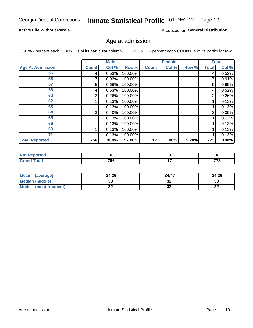# Inmate Statistical Profile 01-DEC-12 Page 19

### **Active Life Without Parole**

Produced for General Distribution

### Age at admission

COL % - percent each COUNT is of its particular column

|                         |              | <b>Male</b> |         |              | <b>Female</b> |       |              | <b>Total</b> |
|-------------------------|--------------|-------------|---------|--------------|---------------|-------|--------------|--------------|
| <b>Age At Admission</b> | <b>Count</b> | Col %       | Row %   | <b>Count</b> | Col %         | Row % | <b>Total</b> | Col %        |
| 55                      | 4            | 0.53%       | 100.00% |              |               |       | 4            | 0.52%        |
| 56                      |              | 0.93%       | 100.00% |              |               |       |              | 0.91%        |
| 57                      | 5            | 0.66%       | 100.00% |              |               |       | 5            | 0.65%        |
| 58                      | 4            | 0.53%       | 100.00% |              |               |       | 4            | 0.52%        |
| 60                      | 2            | 0.26%       | 100.00% |              |               |       | 2            | 0.26%        |
| 62                      |              | 0.13%       | 100.00% |              |               |       |              | 0.13%        |
| 63                      |              | 0.13%       | 100.00% |              |               |       |              | 0.13%        |
| 64                      | 3            | 0.40%       | 100.00% |              |               |       | 3            | 0.39%        |
| 65                      |              | 0.13%       | 100.00% |              |               |       |              | 0.13%        |
| 66                      |              | 0.13%       | 100.00% |              |               |       |              | 0.13%        |
| 69                      |              | 0.13%       | 100.00% |              |               |       |              | 0.13%        |
| 71                      |              | 0.13%       | 100.00% |              |               |       |              | 0.13%        |
| <b>Total Reported</b>   | 756          | 100%        | 97.80%  | 17           | 100%          | 2.20% | 773          | 100%         |

| τeα |     |               |               |
|-----|-----|---------------|---------------|
|     | 756 | - -<br>$\sim$ | ララヘ<br>$\sim$ |

| Mean<br>(average)              | 34.36 | 34.47    | 34.36    |
|--------------------------------|-------|----------|----------|
| <b>Median (middle)</b>         | ົ     | ົ<br>ЭZ  | າາ<br>نە |
| <b>Mode</b><br>(most frequent) | --    | ^^<br>JZ | n,<br>LL |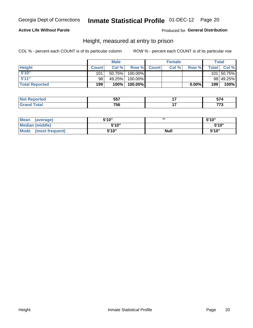#### Inmate Statistical Profile 01-DEC-12 Page 20

### **Active Life Without Parole**

### Produced for General Distribution

### Height, measured at entry to prison

COL % - percent each COUNT is of its particular column

|                       |              | <b>Male</b> |         |             | <b>Female</b> |       |              | Total      |
|-----------------------|--------------|-------------|---------|-------------|---------------|-------|--------------|------------|
| <b>Height</b>         | <b>Count</b> | Col %       |         | Row % Count | Col %         | Row % | <b>Total</b> | Col %      |
| 5'10''                | 101          | 50.75%      | 100.00% |             |               |       |              | 101 50.75% |
| 5'11''                | 98           | 49.25%      | 100.00% |             |               |       |              | 98 49.25%  |
| <b>Total Reported</b> | 199          | 100%        | 100.00% |             |               | 0.00% | 199          | 100%       |

| <b>No</b>                    | <b>EE7</b> | $- -$      |
|------------------------------|------------|------------|
| тео                          | $ -$       | .          |
| <b>Total</b><br><b>Grand</b> | 756        | ---<br>. . |

| <b>Mean</b><br>(average)       | 5'10"  | ,,,         | 5'10"  |
|--------------------------------|--------|-------------|--------|
| Median (middle)                | 5'10"  |             | 5'10'' |
| <b>Mode</b><br>(most frequent) | 5'10'' | <b>Null</b> | 5'10"  |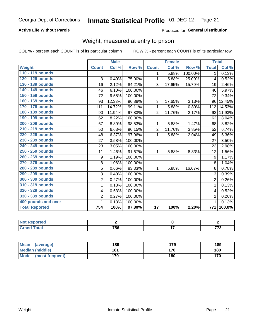# Inmate Statistical Profile 01-DEC-12 Page 21

### **Active Life Without Parole**

### Produced for General Distribution

# Weight, measured at entry to prison

COL % - percent each COUNT is of its particular column

|                       |                | <b>Male</b>               |         |                 | <b>Female</b> |         |                | <b>Total</b> |
|-----------------------|----------------|---------------------------|---------|-----------------|---------------|---------|----------------|--------------|
| <b>Weight</b>         | <b>Count</b>   | $\overline{\text{Col 9}}$ | Row %   | <b>Count</b>    | Col %         | Row %   | <b>Total</b>   | Col %        |
| 110 - 119 pounds      |                |                           |         | 1.              | 5.88%         | 100.00% | 1.             | 0.13%        |
| 120 - 129 pounds      | 3              | 0.40%                     | 75.00%  | 1               | 5.88%         | 25.00%  | 4              | 0.52%        |
| 130 - 139 pounds      | 16             | 2.12%                     | 84.21%  | 3               | 17.65%        | 15.79%  | 19             | 2.46%        |
| 140 - 149 pounds      | 46             | 6.10%                     | 100.00% |                 |               |         | 46             | 5.97%        |
| 150 - 159 pounds      | 72             | 9.55%                     | 100.00% |                 |               |         | 72             | 9.34%        |
| 160 - 169 pounds      | 93             | 12.33%                    | 96.88%  | 3               | 17.65%        | 3.13%   | 96             | 12.45%       |
| 170 - 179 pounds      | 111            | 14.72%                    | 99.11%  | 1               | 5.88%         | 0.89%   | 112            | 14.53%       |
| 180 - 189 pounds      | 90             | 11.94%                    | 97.83%  | $\overline{2}$  | 11.76%        | 2.17%   | 92             | 11.93%       |
| 190 - 199 pounds      | 62             | 8.22%                     | 100.00% |                 |               |         | 62             | 8.04%        |
| 200 - 209 pounds      | 67             | 8.89%                     | 98.53%  | 1               | 5.88%         | 1.47%   | 68             | 8.82%        |
| 210 - 219 pounds      | 50             | 6.63%                     | 96.15%  | 2               | 11.76%        | 3.85%   | 52             | 6.74%        |
| 220 - 229 pounds      | 48             | 6.37%                     | 97.96%  | 1               | 5.88%         | 2.04%   | 49             | 6.36%        |
| 230 - 239 pounds      | 27             | 3.58%                     | 100.00% |                 |               |         | 27             | 3.50%        |
| 240 - 249 pounds      | 23             | 3.05%                     | 100.00% |                 |               |         | 23             | 2.98%        |
| 250 - 259 pounds      | 11             | 1.46%                     | 91.67%  | 1               | 5.88%         | 8.33%   | 12             | 1.56%        |
| 260 - 269 pounds      | 9              | 1.19%                     | 100.00% |                 |               |         | 9              | 1.17%        |
| 270 - 279 pounds      | 8              | 1.06%                     | 100.00% |                 |               |         | 8              | 1.04%        |
| 280 - 289 pounds      | 5              | 0.66%                     | 83.33%  | 1               | 5.88%         | 16.67%  | 6              | 0.78%        |
| 290 - 299 pounds      | 3              | 0.40%                     | 100.00% |                 |               |         | 3              | 0.39%        |
| 300 - 309 pounds      | $\overline{2}$ | 0.27%                     | 100.00% |                 |               |         | $\overline{2}$ | 0.26%        |
| 310 - 319 pounds      | 1              | 0.13%                     | 100.00% |                 |               |         | 1              | 0.13%        |
| 320 - 329 pounds      | 4              | 0.53%                     | 100.00% |                 |               |         | 4              | 0.52%        |
| 330 - 339 pounds      | $\overline{2}$ | 0.27%                     | 100.00% |                 |               |         | $\overline{2}$ | 0.26%        |
| 400 pounds and over   | 1              | 0.13%                     | 100.00% |                 |               |         | $\mathbf 1$    | 0.13%        |
| <b>Total Reported</b> | 754            | 100%                      | 97.80%  | $\overline{17}$ | 100%          | 2.20%   | 771            | 100.0%       |

| Reported     |            |            |
|--------------|------------|------------|
| <b>Total</b> | 750<br>סכי | ララヘ<br>ں ، |

| Mean<br>(average)              | 189 | 179 | 189 |
|--------------------------------|-----|-----|-----|
| <b>Median (middle)</b>         | 181 | 170 | 180 |
| <b>Mode</b><br>(most frequent) | 170 | 180 | 170 |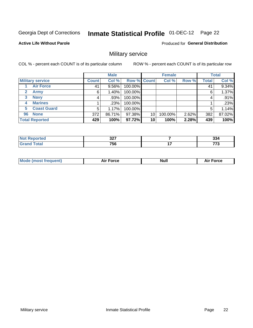# Inmate Statistical Profile 01-DEC-12 Page 22

#### **Active Life Without Parole**

Produced for General Distribution

# Military service

COL % - percent each COUNT is of its particular column

|                             |              | <b>Male</b> |             |    | <b>Female</b> |       |              | <b>Total</b> |
|-----------------------------|--------------|-------------|-------------|----|---------------|-------|--------------|--------------|
| <b>Military service</b>     | <b>Count</b> | Col %       | Row % Count |    | Col %         | Row % | <b>Total</b> | Col %        |
| <b>Air Force</b>            | 41           | $9.56\%$    | 100.00%     |    |               |       | 41           | 9.34%        |
| <b>Army</b><br>$\mathbf{2}$ | 6            | $1.40\%$    | 100.00%     |    |               |       | 6            | 1.37%        |
| <b>Navy</b><br>3            |              | $.93\%$     | 100.00%     |    |               |       | 4            | .91%         |
| <b>Marines</b><br>4         |              | .23%        | 100.00%     |    |               |       |              | .23%         |
| <b>Coast Guard</b><br>5     | 5            | 1.17%       | 100.00%     |    |               |       | 5            | 1.14%        |
| <b>None</b><br>96           | 372          | 86.71%      | 97.38%      | 10 | 100.00%       | 2.62% | 382          | 87.02%       |
| <b>Total Reported</b>       | 429          | 100%        | 97.72%      | 10 | 100%          | 2.28% | 439          | 100%         |

| <b>orted</b>         | 22<br>JZ. |     | <br>აა4 |
|----------------------|-----------|-----|---------|
| Гоtal<br><b>TTMA</b> | 756       | . – | ---     |

|  |  | <b>Mode</b><br>uent)<br>most tren | Force<br>Aır | <b>Null</b> | orce |
|--|--|-----------------------------------|--------------|-------------|------|
|--|--|-----------------------------------|--------------|-------------|------|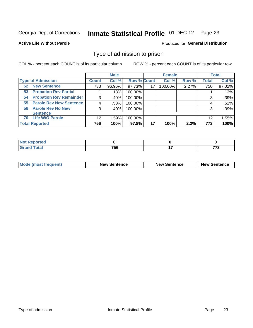# Inmate Statistical Profile 01-DEC-12 Page 23

**Active Life Without Parole** 

Produced for General Distribution

# Type of admission to prison

COL % - percent each COUNT is of its particular column

|                                      |              | <b>Male</b> |                    |    | <b>Female</b> |       |              | <b>Total</b> |
|--------------------------------------|--------------|-------------|--------------------|----|---------------|-------|--------------|--------------|
| <b>Type of Admission</b>             | <b>Count</b> | Col %       | <b>Row % Count</b> |    | Col %         | Row % | <b>Total</b> | Col %        |
| <b>New Sentence</b><br>52            | 733          | 96.96%      | 97.73%             | 17 | 100.00%       | 2.27% | 750          | 97.02%       |
| <b>Probation Rev Partial</b><br>53   |              | .13%        | 100.00%            |    |               |       |              | .13%         |
| <b>Probation Rev Remainder</b><br>54 | 3            | .40%        | 100.00%            |    |               |       | 3            | .39%         |
| <b>Parole Rev New Sentence</b><br>55 | 4            | .53%        | 100.00%            |    |               |       | 4            | .52%         |
| 56 Parole Rev No New                 | 3            | .40%        | 100.00%            |    |               |       | 3            | .39%         |
| <b>Sentence</b>                      |              |             |                    |    |               |       |              |              |
| <b>Life W/O Parole</b><br>70         | 12           | 1.59%       | 100.00%            |    |               |       | 12           | 1.55%        |
| <b>Total Reported</b>                | 756          | 100%        | 97.8%              | 17 | 100%          | 2.2%  | 773          | 100%         |

| <b>Reported</b><br>' NOT |                 |     |
|--------------------------|-----------------|-----|
| <b>c</b> otal            | 75 <sub>0</sub> | --- |
| $\mathbf{v}$ and         | ้วง             | .   |

| <b>Mode (most frequent)</b> | <b>New Sentence</b> | <b>New Sentence</b> | <b>New Sentence</b> |
|-----------------------------|---------------------|---------------------|---------------------|
|                             |                     |                     |                     |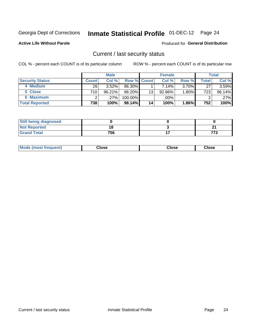# Inmate Statistical Profile 01-DEC-12 Page 24

**Active Life Without Parole** 

### **Produced for General Distribution**

### Current / last security status

COL % - percent each COUNT is of its particular column

|                        |         | <b>Male</b> |                    |                 | <b>Female</b> |          |       | <b>Total</b> |
|------------------------|---------|-------------|--------------------|-----------------|---------------|----------|-------|--------------|
| <b>Security Status</b> | Count l | Col %       | <b>Row % Count</b> |                 | Col %         | Row %    | Total | Col %        |
| 4 Medium               | 26      | $3.52\%$    | 96.30%             |                 | 7.14%         | $3.70\%$ | 27    | 3.59%        |
| 5 Close                | 710 l   | 96.21%      | 98.20%             | 13              | 92.86%        | 1.80%    | 723   | 96.14%       |
| <b>6 Maximum</b>       |         | .27%        | 100.00%            |                 | .00%          |          | ⌒     | .27%         |
| <b>Total Reported</b>  | 738     | 100%        | 98.14%             | 14 <sub>1</sub> | 100%          | $1.86\%$ | 752   | 100%         |

| <b>Still being diagnosed</b> |     |     |
|------------------------------|-----|-----|
| <b>Not Reported</b>          | 18  | n.  |
| <b>Grand Total</b>           | 756 | ァァ・ |

| Mode (most frequent) | Close | Close | <b>Close</b> |
|----------------------|-------|-------|--------------|
|                      |       |       |              |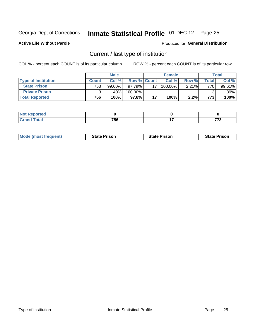# Inmate Statistical Profile 01-DEC-12 Page 25

**Active Life Without Parole** 

Produced for General Distribution

# Current / last type of institution

COL % - percent each COUNT is of its particular column

|                            |              | <b>Male</b> |                    |    | <b>Female</b> |       |        | <b>Total</b> |
|----------------------------|--------------|-------------|--------------------|----|---------------|-------|--------|--------------|
| <b>Type of Institution</b> | <b>Count</b> | Col %       | <b>Row % Count</b> |    | Col %         | Row % | Total⊤ | Col %        |
| <b>State Prison</b>        | 753          | 99.60%      | $97.79\%$          |    | 100.00%       | 2.21% | 770    | 99.61%       |
| <b>Private Prison</b>      |              | .40%        | 100.00%            |    |               |       |        | $.39\%$      |
| <b>Total Reported</b>      | 756          | 100%        | $97.8\%$           | 17 | 100%          | 2.2%  | 773    | 100%         |

| المتمتلين<br>rtea |           |                |             |
|-------------------|-----------|----------------|-------------|
| <b>otal</b>       | 750<br>סכ | $\overline{a}$ | ----<br>. . |

| <b>Mode (most frequent)</b> | <b>State Prison</b> | <b>State Prison</b> | <b>State Prison</b> |
|-----------------------------|---------------------|---------------------|---------------------|
|                             |                     |                     |                     |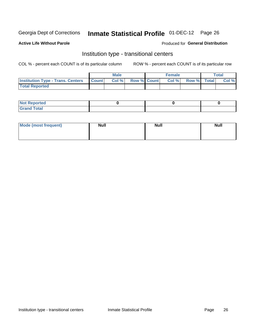# Inmate Statistical Profile 01-DEC-12 Page 26

#### **Active Life Without Parole**

### Produced for General Distribution

# Institution type - transitional centers

COL % - percent each COUNT is of its particular column

|                                                | Male  |                    | <b>Female</b> |                   | Total |
|------------------------------------------------|-------|--------------------|---------------|-------------------|-------|
| <b>Institution Type - Trans. Centers Count</b> | Col % | <b>Row % Count</b> |               | Col % Row % Total | Col % |
| <b>Total Reported</b>                          |       |                    |               |                   |       |

| <b>Reported</b><br><b>NOT</b><br>$\sim$            |  |  |
|----------------------------------------------------|--|--|
| $f$ $f \circ f \circ f$<br>$C = 1$<br><b>TULAI</b> |  |  |

| Mode (most frequent) | <b>Null</b> | <b>Null</b> | <b>Null</b> |
|----------------------|-------------|-------------|-------------|
|                      |             |             |             |
|                      |             |             |             |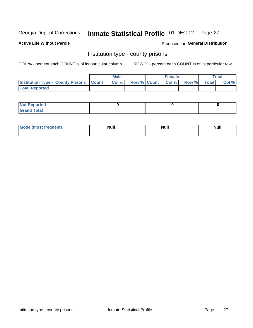# Inmate Statistical Profile 01-DEC-12 Page 27

**Active Life Without Parole** 

Produced for General Distribution

### Institution type - county prisons

COL % - percent each COUNT is of its particular column

|                                                    | <b>Male</b> |  | <b>Female</b>            |             | <b>Total</b> |
|----------------------------------------------------|-------------|--|--------------------------|-------------|--------------|
| <b>Institution Type - County Prisons   Count  </b> | Col %       |  | <b>Row % Count Col %</b> | Row % Total | Col %        |
| <b>Total Reported</b>                              |             |  |                          |             |              |

| <b>Not Reported</b>         |  |  |
|-----------------------------|--|--|
| <b>Total</b><br>-<br>______ |  |  |

| <b>Mode</b>      | <b>Null</b> | <b>Null</b> | <b>Null</b> |
|------------------|-------------|-------------|-------------|
| (most freauent). |             |             |             |
|                  |             |             |             |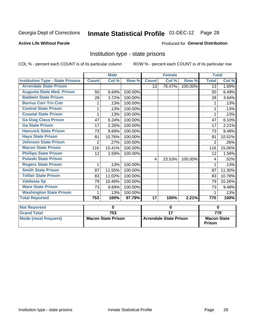# Inmate Statistical Profile 01-DEC-12 Page 28

### **Active Life Without Parole**

#### Produced for General Distribution

### Institution type - state prisons

COL % - percent each COUNT is of its particular column ROW % - percent each COUNT is of its particular row

|                                         |                | <b>Male</b>                                                |         |                 | <b>Female</b>   |                              | <b>Total</b>   |                  |
|-----------------------------------------|----------------|------------------------------------------------------------|---------|-----------------|-----------------|------------------------------|----------------|------------------|
| <b>Institution Type - State Prisons</b> | <b>Count</b>   | Col %                                                      | Row %   | <b>Count</b>    | Col %           | Row %                        | <b>Total</b>   | Col %            |
| <b>Arrendale State Prison</b>           |                |                                                            |         | 13              | 76.47%          | 100.00%                      | 13             | 1.69%            |
| <b>Augusta State Med. Prison</b>        | 50             | 6.64%                                                      | 100.00% |                 |                 |                              | 50             | 6.49%            |
| <b>Baldwin State Prison</b>             | 28             | 3.72%                                                      | 100.00% |                 |                 |                              | 28             | 3.64%            |
| <b>Burrus Corr Trn Cntr</b>             |                | .13%                                                       | 100.00% |                 |                 |                              |                | .13%             |
| <b>Central State Prison</b>             | 1              | .13%                                                       | 100.00% |                 |                 |                              |                | .13%             |
| <b>Coastal State Prison</b>             | 1              | .13%                                                       | 100.00% |                 |                 |                              | 1              | .13%             |
| <b>Ga Diag Class Prison</b>             | 47             | 6.24%                                                      | 100.00% |                 |                 |                              | 47             | 6.10%            |
| <b>Ga State Prison</b>                  | 17             | 2.26%                                                      | 100.00% |                 |                 |                              | 17             | 2.21%            |
| <b>Hancock State Prison</b>             | 73             | 9.69%                                                      | 100.00% |                 |                 |                              | 73             | 9.48%            |
| <b>Hays State Prison</b>                | 81             | 10.76%                                                     | 100.00% |                 |                 |                              | 81             | 10.52%           |
| <b>Johnson State Prison</b>             | $\overline{2}$ | .27%                                                       | 100.00% |                 |                 |                              | $\overline{2}$ | .26%             |
| <b>Macon State Prison</b>               | 116            | 15.41%                                                     | 100.00% |                 |                 |                              | 116            | 15.06%           |
| <b>Phillips State Prison</b>            | 12             | 1.59%                                                      | 100.00% |                 |                 |                              | 12             | 1.56%            |
| <b>Pulaski State Prison</b>             |                |                                                            |         | 4               | 23.53%          | 100.00%                      | 4              | .52%             |
| <b>Rogers State Prison</b>              | 1              | .13%                                                       | 100.00% |                 |                 |                              |                | .13%             |
| <b>Smith State Prison</b>               | 87             | 11.55%                                                     | 100.00% |                 |                 |                              | 87             | 11.30%           |
| <b>Telfair State Prison</b>             | 83             | 11.02%                                                     | 100.00% |                 |                 |                              | 83             | 10.78%           |
| <b>Valdosta Sp</b>                      | 79             | 10.49%                                                     | 100.00% |                 |                 |                              | 79             | 10.26%           |
| <b>Ware State Prison</b>                | 73             | 9.69%                                                      | 100.00% |                 |                 |                              | 73             | 9.48%            |
| <b>Washington State Prison</b>          |                | .13%                                                       | 100.00% |                 |                 |                              |                | .13%             |
| <b>Total Reported</b>                   | 753            | 100%                                                       | 97.79%  | $\overline{17}$ | 100%            | 2.21%                        | 770            | 100%             |
| <b>Not Reported</b>                     |                | $\bf{0}$                                                   |         |                 | 0               |                              | $\bf{0}$       |                  |
| <b>Grand Total</b>                      |                | 753                                                        |         |                 | $\overline{17}$ |                              |                | $\overline{770}$ |
| <b>Mode (most frequent)</b>             |                | <b>Macon State Prison</b><br><b>Arrendale State Prison</b> |         |                 |                 | <b>Macon State</b><br>Prison |                |                  |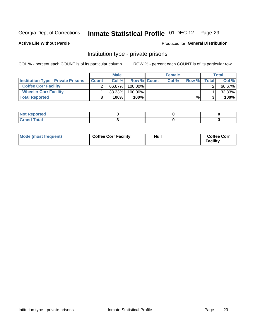# Inmate Statistical Profile 01-DEC-12 Page 29

**Active Life Without Parole** 

### Produced for General Distribution

# Institution type - private prisons

COL % - percent each COUNT is of its particular column

|                                           |              | <b>Male</b> |                    | <b>Female</b> |       |       | <b>Total</b> |
|-------------------------------------------|--------------|-------------|--------------------|---------------|-------|-------|--------------|
| <b>Institution Type - Private Prisons</b> | <b>Count</b> | Col $%$     | <b>Row % Count</b> | Col%          | Row % | Total | Col %        |
| <b>Coffee Corr Facility</b>               |              | 66.67%      | $100.00\%$         |               |       |       | 66.67%       |
| <b>Wheeler Corr Facility</b>              |              | $33.33\%$   | $100.00\%$         |               |       |       | 33.33%       |
| <b>Total Reported</b>                     |              | 100%        | 100%               |               | %।    |       | 100%         |

| <b>Not Reported</b>     |  |  |
|-------------------------|--|--|
| <u>i Utal</u><br>------ |  |  |

| Mode (most frequent) | <b>Coffee Corr Facility</b> | <b>Null</b> | <b>Coffee Corr</b><br><b>Facility</b> |
|----------------------|-----------------------------|-------------|---------------------------------------|
|----------------------|-----------------------------|-------------|---------------------------------------|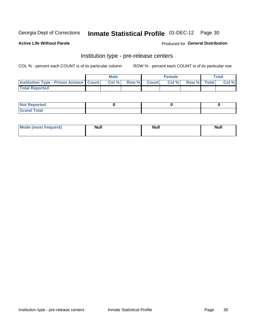# Inmate Statistical Profile 01-DEC-12 Page 30

**Active Life Without Parole** 

Produced for General Distribution

# Institution type - pre-release centers

COL % - percent each COUNT is of its particular column

|                                                    | <b>Male</b> |             | <b>Female</b> |             | <b>Total</b> |
|----------------------------------------------------|-------------|-------------|---------------|-------------|--------------|
| <b>Institution Type - Prison Annexe   Count   </b> | Col %       | Row % Count | Col %         | Row % Total | Col %        |
| <b>Total Reported</b>                              |             |             |               |             |              |

| <b>Reported</b><br>I NOT |  |  |
|--------------------------|--|--|
| <b>Total</b><br>$C$ ren  |  |  |

| $^{\circ}$ Mo<br>frequent)<br>⊥(mos* | <b>Null</b> | Noll<br><b>vull</b> | <b>Null</b> |
|--------------------------------------|-------------|---------------------|-------------|
|                                      |             |                     |             |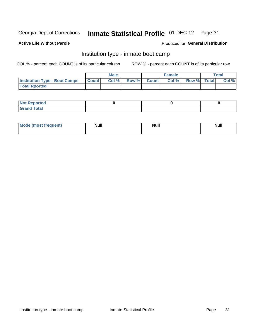# Inmate Statistical Profile 01-DEC-12 Page 31

### **Active Life Without Parole**

#### Produced for General Distribution

# Institution type - inmate boot camp

COL % - percent each COUNT is of its particular column

|                                      |              | <b>Male</b> |               |              | <b>Female</b> |             | <b>Total</b> |
|--------------------------------------|--------------|-------------|---------------|--------------|---------------|-------------|--------------|
| <b>Institution Type - Boot Camps</b> | <b>Count</b> | Col %       | <b>Row %I</b> | <b>Count</b> | Col %         | Row % Total | Col %        |
| <b>Total Rported</b>                 |              |             |               |              |               |             |              |

| <b>Not Reported</b> |  |  |
|---------------------|--|--|
| <b>Total</b><br>Cro |  |  |

| <b>I Mode (most frequent)</b> | <b>Null</b> | <b>Null</b> | <b>Null</b> |
|-------------------------------|-------------|-------------|-------------|
|                               |             |             |             |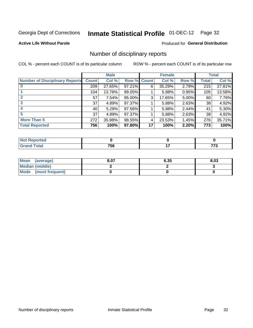# Inmate Statistical Profile 01-DEC-12 Page 32

**Active Life Without Parole** 

### Produced for General Distribution

# Number of disciplinary reports

COL % - percent each COUNT is of its particular column

|                                       |              | <b>Male</b> |             |    | <b>Female</b> |          |              | <b>Total</b> |
|---------------------------------------|--------------|-------------|-------------|----|---------------|----------|--------------|--------------|
| <b>Number of Disciplinary Reports</b> | <b>Count</b> | Col %       | Row % Count |    | Col %         | Row %    | <b>Total</b> | Col %        |
|                                       | 209          | 27.65%      | 97.21%      | 6  | 35.29%        | 2.79%    | 215          | 27.81%       |
|                                       | 104          | 13.76%      | 99.05%      |    | 5.88%         | 0.95%    | 105          | 13.58%       |
| $\mathbf{2}$                          | 57           | 7.54%       | 95.00%      | 3  | 17.65%        | $5.00\%$ | 60           | 7.76%        |
| 3                                     | 37           | 4.89%       | 97.37%      |    | 5.88%         | 2.63%    | 38           | 4.92%        |
|                                       | 40           | 5.29%       | 97.56%      |    | 5.88%         | 2.44%    | 41           | 5.30%        |
| 5                                     | 37           | 4.89%       | 97.37%      |    | 5.88%         | 2.63%    | 38           | 4.92%        |
| <b>More Than 5</b>                    | 272          | 35.98%      | 98.55%      | 4  | 23.53%        | 1.45%    | 276          | 35.71%       |
| <b>Total Reported</b>                 | 756          | 100%        | 97.80%      | 17 | 100%          | 2.20%    | 773          | 100%         |

| <b>prted</b><br>NOT |     |    |
|---------------------|-----|----|
| <b>f</b> otal       | 756 | -- |

| Mean (average)         | 8.07 | 6.35 | 8.03 |
|------------------------|------|------|------|
| <b>Median (middle)</b> |      |      |      |
| Mode (most frequent)   |      |      |      |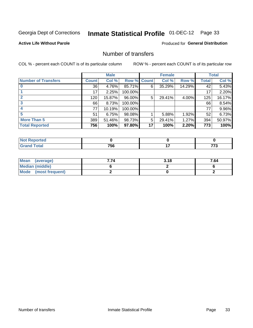# Inmate Statistical Profile 01-DEC-12 Page 33

### **Active Life Without Parole**

### **Produced for General Distribution**

# Number of transfers

COL % - percent each COUNT is of its particular column

|                            |              | <b>Male</b> |             |    | <b>Female</b> |        |              | <b>Total</b> |
|----------------------------|--------------|-------------|-------------|----|---------------|--------|--------------|--------------|
| <b>Number of Transfers</b> | <b>Count</b> | Col %       | Row % Count |    | Col %         | Row %  | <b>Total</b> | Col %        |
|                            | 36           | 4.76%       | 85.71%      | 6  | 35.29%        | 14.29% | 42           | 5.43%        |
|                            | 17           | 2.25%       | 100.00%     |    |               |        | 17           | 2.20%        |
| $\mathbf{2}$               | 120          | 15.87%      | 96.00%      | 5  | 29.41%        | 4.00%  | 125          | 16.17%       |
| 3                          | 66           | 8.73%       | 100.00%     |    |               |        | 66           | 8.54%        |
|                            | 77           | 10.19%      | 100.00%     |    |               |        | 77           | 9.96%        |
| 5                          | 51           | 6.75%       | 98.08%      |    | 5.88%         | 1.92%  | 52           | 6.73%        |
| <b>More Than 5</b>         | 389          | 51.46%      | 98.73%      | 5  | 29.41%        | 1.27%  | 394          | 50.97%       |
| <b>Total Reported</b>      | 756          | 100%        | 97.80%      | 17 | 100%          | 2.20%  | 773          | 100%         |

| <b>prted</b><br>NOT |     |    |
|---------------------|-----|----|
| <b>f</b> otal       | 756 | -- |

| Mean (average)         | '.74 | 3.18 | 7.64 |
|------------------------|------|------|------|
| <b>Median (middle)</b> |      |      |      |
| Mode (most frequent)   |      |      |      |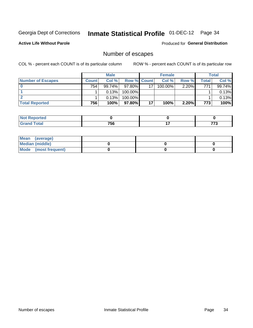# Inmate Statistical Profile 01-DEC-12 Page 34

**Active Life Without Parole** 

**Produced for General Distribution** 

# Number of escapes

COL % - percent each COUNT is of its particular column

|                          |              | <b>Male</b> |                    |    | <b>Female</b> |          |       | Total  |
|--------------------------|--------------|-------------|--------------------|----|---------------|----------|-------|--------|
| <b>Number of Escapes</b> | <b>Count</b> | Col%        | <b>Row % Count</b> |    | Col %         | Row %    | Total | Col %  |
|                          | 754          | 99.74%      | 97.80%             | 17 | $100.00\%$    | $2.20\%$ | 771   | 99.74% |
|                          |              | 0.13%       | 100.00%            |    |               |          |       | 0.13%  |
|                          |              | 0.13%       | $100.00\%$         |    |               |          |       | 0.13%  |
| <b>Total Reported</b>    | 756          | 100%        | $97.80\%$          | 17 | 100%          | 2.20%    | 773   | 100%   |

| <b>orted</b><br><b>AUT Reprint</b> |     |         |
|------------------------------------|-----|---------|
| <b>fotal</b><br>' Grand            | 756 | $- - -$ |

| Mean (average)       |  |  |
|----------------------|--|--|
| Median (middle)      |  |  |
| Mode (most frequent) |  |  |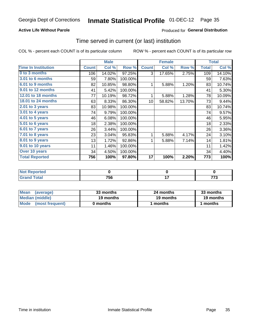# Inmate Statistical Profile 01-DEC-12 Page 35

### **Active Life Without Parole**

### Produced for General Distribution

### Time served in current (or last) institution

COL % - percent each COUNT is of its particular column

|                              |              | <b>Male</b> |         |                 | <b>Female</b> |        |              | <b>Total</b> |
|------------------------------|--------------|-------------|---------|-----------------|---------------|--------|--------------|--------------|
| <b>Time In Institution</b>   | <b>Count</b> | Col %       | Row %   | <b>Count</b>    | Col %         | Row %  | <b>Total</b> | Col %        |
| 0 to 3 months                | 106          | 14.02%      | 97.25%  | 3               | 17.65%        | 2.75%  | 109          | 14.10%       |
| <b>3.01 to 6 months</b>      | 59           | 7.80%       | 100.00% |                 |               |        | 59           | 7.63%        |
| 6.01 to 9 months             | 82           | 10.85%      | 98.80%  | 1               | 5.88%         | 1.20%  | 83           | 10.74%       |
| 9.01 to 12 months            | 41           | 5.42%       | 100.00% |                 |               |        | 41           | 5.30%        |
| 12.01 to 18 months           | 77           | 10.19%      | 98.72%  | 1               | 5.88%         | 1.28%  | 78           | 10.09%       |
| <b>18.01 to 24 months</b>    | 63           | 8.33%       | 86.30%  | 10 <sup>1</sup> | 58.82%        | 13.70% | 73           | 9.44%        |
| $2.01$ to 3 years            | 83           | 10.98%      | 100.00% |                 |               |        | 83           | 10.74%       |
| 3.01 to 4 years              | 74           | 9.79%       | 100.00% |                 |               |        | 74           | 9.57%        |
| $4.01$ to 5 years            | 46           | 6.08%       | 100.00% |                 |               |        | 46           | 5.95%        |
| $\overline{5.01}$ to 6 years | 18           | 2.38%       | 100.00% |                 |               |        | 18           | 2.33%        |
| 6.01 to 7 years              | 26           | 3.44%       | 100.00% |                 |               |        | 26           | 3.36%        |
| 7.01 to 8 years              | 23           | 3.04%       | 95.83%  | 1               | 5.88%         | 4.17%  | 24           | 3.10%        |
| $8.01$ to 9 years            | 13           | 1.72%       | 92.86%  | 1               | 5.88%         | 7.14%  | 14           | 1.81%        |
| 9.01 to 10 years             | 11           | 1.46%       | 100.00% |                 |               |        | 11           | 1.42%        |
| Over 10 years                | 34           | 4.50%       | 100.00% |                 |               |        | 34           | 4.40%        |
| <b>Total Reported</b>        | 756          | 100%        | 97.80%  | 17              | 100%          | 2.20%  | 773          | 100%         |

| Reported<br><b>NOT</b> |     |     |
|------------------------|-----|-----|
| <i>i</i> otal          | 756 | ___ |

| <b>Mean</b><br>(average) | 33 months | 24 months | 33 months |
|--------------------------|-----------|-----------|-----------|
| Median (middle)          | 19 months | 19 months | 19 months |
| Mode (most frequent)     | 0 months  | 1 months  | 1 months  |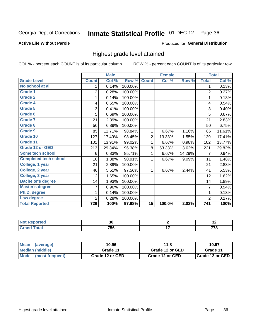# Inmate Statistical Profile 01-DEC-12 Page 36

#### **Active Life Without Parole**

#### Produced for General Distribution

# Highest grade level attained

COL % - percent each COUNT is of its particular column

|                              |                | <b>Male</b> |         |                 | <b>Female</b> |        |                | <b>Total</b> |
|------------------------------|----------------|-------------|---------|-----------------|---------------|--------|----------------|--------------|
| <b>Grade Level</b>           | <b>Count</b>   | Col %       | Row %   | <b>Count</b>    | Col %         | Row %  | <b>Total</b>   | Col %        |
| No school at all             | 1              | 0.14%       | 100.00% |                 |               |        | 1              | 0.13%        |
| <b>Grade 1</b>               | 2              | 0.28%       | 100.00% |                 |               |        | $\overline{2}$ | 0.27%        |
| <b>Grade 2</b>               | 1              | 0.14%       | 100.00% |                 |               |        | 1              | 0.13%        |
| <b>Grade 4</b>               | 4              | 0.55%       | 100.00% |                 |               |        | 4              | 0.54%        |
| Grade 5                      | 3              | 0.41%       | 100.00% |                 |               |        | 3              | 0.40%        |
| Grade 6                      | 5              | 0.69%       | 100.00% |                 |               |        | 5              | 0.67%        |
| <b>Grade 7</b>               | 21             | 2.89%       | 100.00% |                 |               |        | 21             | 2.83%        |
| <b>Grade 8</b>               | 50             | 6.89%       | 100.00% |                 |               |        | 50             | 6.75%        |
| <b>Grade 9</b>               | 85             | 11.71%      | 98.84%  | $\mathbf{1}$    | 6.67%         | 1.16%  | 86             | 11.61%       |
| Grade 10                     | 127            | 17.49%      | 98.45%  | $\overline{2}$  | 13.33%        | 1.55%  | 129            | 17.41%       |
| Grade 11                     | 101            | 13.91%      | 99.02%  | $\mathbf 1$     | 6.67%         | 0.98%  | 102            | 13.77%       |
| <b>Grade 12 or GED</b>       | 213            | 29.34%      | 96.38%  | 8               | 53.33%        | 3.62%  | 221            | 29.82%       |
| <b>Some tech school</b>      | 6              | 0.83%       | 85.71%  | $\mathbf 1$     | 6.67%         | 14.29% | 7              | 0.94%        |
| <b>Completed tech school</b> | 10             | 1.38%       | 90.91%  | 1               | 6.67%         | 9.09%  | 11             | 1.48%        |
| College, 1 year              | 21             | 2.89%       | 100.00% |                 |               |        | 21             | 2.83%        |
| College, 2 year              | 40             | 5.51%       | 97.56%  | 1               | 6.67%         | 2.44%  | 41             | 5.53%        |
| College, 3 year              | 12             | 1.65%       | 100.00% |                 |               |        | 12             | 1.62%        |
| <b>Bachelor's degree</b>     | 14             | 1.93%       | 100.00% |                 |               |        | 14             | 1.89%        |
| <b>Master's degree</b>       | 7              | 0.96%       | 100.00% |                 |               |        | 7              | 0.94%        |
| Ph.D. degree                 | 1              | 0.14%       | 100.00% |                 |               |        | 1              | 0.13%        |
| Law degree                   | $\overline{2}$ | 0.28%       | 100.00% |                 |               |        | $\overline{2}$ | 0.27%        |
| <b>Total Reported</b>        | 726            | 100%        | 97.98%  | $\overline{15}$ | 100.0%        | 2.02%  | 741            | 100%         |

| orred      | $\overline{ }$<br>u | $\sim$<br>◡▵ |
|------------|---------------------|--------------|
| <b>ota</b> | フロベ<br>סכי          | ---          |

| <b>Mean</b><br>(average)       | 10.96           | 11.8            | 10.97             |
|--------------------------------|-----------------|-----------------|-------------------|
| <b>Median (middle)</b>         | Grade 11        | Grade 12 or GED | Grade 11          |
| <b>Mode</b><br>(most frequent) | Grade 12 or GED | Grade 12 or GED | I Grade 12 or GED |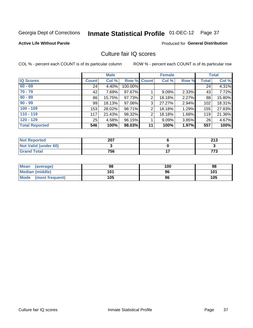# Inmate Statistical Profile 01-DEC-12 Page 37

### **Active Life Without Parole**

## **Produced for General Distribution**

## Culture fair IQ scores

COL % - percent each COUNT is of its particular column

|                       |              | <b>Male</b> |                    |                | <b>Female</b> |          |              | <b>Total</b> |
|-----------------------|--------------|-------------|--------------------|----------------|---------------|----------|--------------|--------------|
| <b>IQ Scores</b>      | <b>Count</b> | Col %       | <b>Row % Count</b> |                | Col %         | Row %    | <b>Total</b> | Col %        |
| $60 - 69$             | 24           | 4.40%       | 100.00%            |                |               |          | 24           | 4.31%        |
| $70 - 79$             | 42           | 7.69%       | 97.67%             |                | 9.09%         | 2.33%    | 43           | 7.72%        |
| $80 - 89$             | 86           | 15.75%      | 97.73%             | 2              | 18.18%        | 2.27%    | 88           | 15.80%       |
| $90 - 99$             | 99           | 18.13%      | 97.06%             | 3              | 27.27%        | 2.94%    | 102          | 18.31%       |
| $100 - 109$           | 153          | 28.02%      | 98.71%             | $\overline{2}$ | 18.18%        | 1.29%    | 155          | 27.83%       |
| $110 - 119$           | 117          | 21.43%      | 98.32%             | 2              | 18.18%        | 1.68%    | 119          | 21.36%       |
| $120 - 129$           | 25           | 4.58%       | 96.15%             |                | 9.09%         | $3.85\%$ | 26           | 4.67%        |
| <b>Total Reported</b> | 546          | 100%        | 98.03%             | 11             | 100%          | 1.97%    | 557          | 100%         |

| <b>Not Reported</b>         | 207 | つイつ<br>2 I J |
|-----------------------------|-----|--------------|
| <b>Not Valid (under 60)</b> |     |              |
| <b>Grand Total</b>          | 756 | 773          |

| Mean (average)       | 98  | 100 | 98  |
|----------------------|-----|-----|-----|
| Median (middle)      | 101 | 96  | 101 |
| Mode (most frequent) | 105 | 96  | 105 |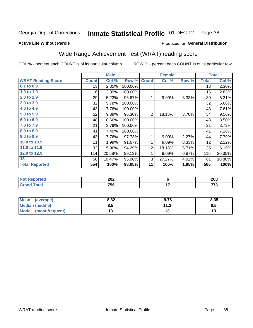#### **Inmate Statistical Profile 01-DEC-12** Page 38

### **Active Life Without Parole**

## **Produced for General Distribution**

## Wide Range Achievement Test (WRAT) reading score

COL % - percent each COUNT is of its particular column

|                           |              | <b>Male</b> |         |                | <b>Female</b> |       |              | <b>Total</b> |
|---------------------------|--------------|-------------|---------|----------------|---------------|-------|--------------|--------------|
| <b>WRAT Reading Score</b> | <b>Count</b> | Col %       | Row %   | <b>Count</b>   | Col %         | Row % | <b>Total</b> | Col %        |
| 0.1 to 0.9                | 13           | 2.35%       | 100.00% |                |               |       | 13           | 2.30%        |
| 1.0 to 1.9                | 16           | 2.89%       | 100.00% |                |               |       | 16           | 2.83%        |
| 2.0 to 2.9                | 29           | 5.23%       | 96.67%  | 1              | 9.09%         | 3.33% | 30           | 5.31%        |
| 3.0 to 3.9                | 32           | 5.78%       | 100.00% |                |               |       | 32           | 5.66%        |
| 4.0 to 4.9                | 43           | 7.76%       | 100.00% |                |               |       | 43           | 7.61%        |
| 5.0 to 5.9                | 52           | 9.39%       | 96.30%  | $\overline{2}$ | 18.18%        | 3.70% | 54           | 9.56%        |
| 6.0 to 6.9                | 48           | 8.66%       | 100.00% |                |               |       | 48           | 8.50%        |
| 7.0 to 7.9                | 21           | 3.79%       | 100.00% |                |               |       | 21           | 3.72%        |
| 8.0 to 8.9                | 41           | 7.40%       | 100.00% |                |               |       | 41           | 7.26%        |
| 9.0 to 9.9                | 43           | 7.76%       | 97.73%  | 1              | 9.09%         | 2.27% | 44           | 7.79%        |
| 10.0 to 10.9              | 11           | 1.99%       | 91.67%  | 1              | 9.09%         | 8.33% | 12           | 2.12%        |
| 11.0 to 11.9              | 33           | 5.96%       | 94.29%  | $\overline{2}$ | 18.18%        | 5.71% | 35           | 6.19%        |
| 12.0 to 12.9              | 114          | 20.58%      | 99.13%  | 1              | 9.09%         | 0.87% | 115          | 20.35%       |
| 13                        | 58           | 10.47%      | 95.08%  | 3              | 27.27%        | 4.92% | 61           | 10.80%       |
| <b>Total Reported</b>     | 554          | 100%        | 98.05%  | 11             | 100%          | 1.95% | 565          | 100%         |
|                           |              |             |         |                |               |       |              |              |

| <b>Not Reported</b>    | 202 | 208          |
|------------------------|-----|--------------|
| <b>Total</b><br>'Grand | 756 | $- - -$<br>. |

| <b>Mean</b><br>(average)       | 8.32 | 9.76                            | 8.35 |
|--------------------------------|------|---------------------------------|------|
| Median (middle)                | ช. ა | 11 <sub>2</sub><br>. . <u>.</u> | Ծ.J  |
| <b>Mode</b><br>(most frequent) |      |                                 | יי   |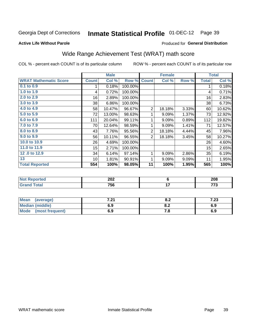#### **Inmate Statistical Profile 01-DEC-12** Page 39

**Active Life Without Parole** 

### Produced for General Distribution

## Wide Range Achievement Test (WRAT) math score

COL % - percent each COUNT is of its particular column

|                              |                 | <b>Male</b> |         |                | <b>Female</b> |       |              | <b>Total</b> |
|------------------------------|-----------------|-------------|---------|----------------|---------------|-------|--------------|--------------|
| <b>WRAT Mathematic Score</b> | <b>Count</b>    | Col %       | Row %   | <b>Count</b>   | Col %         | Row % | <b>Total</b> | Col %        |
| 0.1 to 0.9                   | 1               | 0.18%       | 100.00% |                |               |       | 1            | 0.18%        |
| 1.0 to 1.9                   | 4               | 0.72%       | 100.00% |                |               |       | 4            | 0.71%        |
| 2.0 to 2.9                   | 16              | 2.89%       | 100.00% |                |               |       | 16           | 2.83%        |
| 3.0 to 3.9                   | 38              | 6.86%       | 100.00% |                |               |       | 38           | 6.73%        |
| 4.0 to 4.9                   | 58              | 10.47%      | 96.67%  | $\overline{2}$ | 18.18%        | 3.33% | 60           | 10.62%       |
| 5.0 to 5.9                   | 72              | 13.00%      | 98.63%  | 1              | 9.09%         | 1.37% | 73           | 12.92%       |
| 6.0 to 6.9                   | 111             | 20.04%      | 99.11%  | 1              | 9.09%         | 0.89% | 112          | 19.82%       |
| 7.0 to 7.9                   | 70              | 12.64%      | 98.59%  | 1              | 9.09%         | 1.41% | 71           | 12.57%       |
| 8.0 to 8.9                   | 43              | 7.76%       | 95.56%  | $\overline{2}$ | 18.18%        | 4.44% | 45           | 7.96%        |
| 9.0 to 9.9                   | 56              | 10.11%      | 96.55%  | $\overline{2}$ | 18.18%        | 3.45% | 58           | 10.27%       |
| 10.0 to 10.9                 | 26              | 4.69%       | 100.00% |                |               |       | 26           | 4.60%        |
| 11.0 to 11.9                 | 15              | 2.71%       | 100.00% |                |               |       | 15           | 2.65%        |
| 12.0 to 12.9                 | 34              | 6.14%       | 97.14%  | 1              | 9.09%         | 2.86% | 35           | 6.19%        |
| 13                           | 10 <sup>1</sup> | 1.81%       | 90.91%  | 1              | 9.09%         | 9.09% | 11           | 1.95%        |
| <b>Total Reported</b>        | 554             | 100%        | 98.05%  | 11             | 100%          | 1.95% | 565          | 100%         |
|                              |                 |             |         |                |               |       |              |              |
| <b>Not Reported</b>          |                 | 202         |         |                | $\bf 6$       |       |              | 208          |
| <b>Grand Total</b>           |                 | 756         |         |                | 17            |       |              | 773          |

| Mean (average)                 | 7. 94<br>. | О.Д | 7.23 |
|--------------------------------|------------|-----|------|
| Median (middle)                |            | o.z | 6.9  |
| <b>Mode</b><br>(most frequent) | 6.9        | 60  | 6.9  |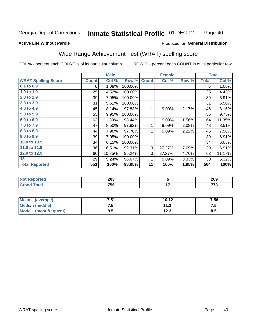#### **Inmate Statistical Profile 01-DEC-12** Page 40

### **Active Life Without Parole**

## **Produced for General Distribution**

## Wide Range Achievement Test (WRAT) spelling score

COL % - percent each COUNT is of its particular column

ROW % - percent each COUNT is of its particular row

|                            |              | <b>Male</b> |         |              | <b>Female</b>           |       |              | <b>Total</b> |
|----------------------------|--------------|-------------|---------|--------------|-------------------------|-------|--------------|--------------|
| <b>WRAT Spelling Score</b> | <b>Count</b> | Col %       | Row %   | <b>Count</b> | Col %                   | Row % | <b>Total</b> | Col %        |
| 0.1 to 0.9                 | 6            | 1.08%       | 100.00% |              |                         |       | 6            | 1.06%        |
| 1.0 to 1.9                 | 25           | 4.52%       | 100.00% |              |                         |       | 25           | 4.43%        |
| 2.0 to 2.9                 | 39           | 7.05%       | 100.00% |              |                         |       | 39           | 6.91%        |
| 3.0 to 3.9                 | 31           | 5.61%       | 100.00% |              |                         |       | 31           | 5.50%        |
| 4.0 to 4.9                 | 45           | 8.14%       | 97.83%  | 1            | 9.09%                   | 2.17% | 46           | 8.16%        |
| 5.0 to 5.9                 | 55           | 9.95%       | 100.00% |              |                         |       | 55           | 9.75%        |
| 6.0 to 6.9                 | 63           | 11.39%      | 98.44%  | 1            | 9.09%                   | 1.56% | 64           | 11.35%       |
| 7.0 to 7.9                 | 47           | 8.50%       | 97.92%  | 1            | 9.09%                   | 2.08% | 48           | 8.51%        |
| 8.0 to 8.9                 | 44           | 7.96%       | 97.78%  | 1            | 9.09%                   | 2.22% | 45           | 7.98%        |
| 9.0 to 9.9                 | 39           | 7.05%       | 100.00% |              |                         |       | 39           | 6.91%        |
| 10.0 to 10.9               | 34           | 6.15%       | 100.00% |              |                         |       | 34           | 6.03%        |
| 11.0 to 11.9               | 36           | 6.51%       | 92.31%  | 3            | 27.27%                  | 7.69% | 39           | 6.91%        |
| 12.0 to 12.9               | 60           | 10.85%      | 95.24%  | 3            | 27.27%                  | 4.76% | 63           | 11.17%       |
| 13                         | 29           | 5.24%       | 96.67%  | 1            | 9.09%                   | 3.33% | 30           | 5.32%        |
| <b>Total Reported</b>      | 553          | 100%        | 98.05%  | 11           | 100%                    | 1.95% | 564          | 100%         |
|                            |              |             |         |              |                         |       |              |              |
| <b>Not Reported</b>        |              | 203         |         |              | $\overline{\mathbf{6}}$ |       |              | 209          |
| <b>Grand Total</b>         |              | 756         |         |              | 17                      |       |              | 773          |

| <b>Mean</b><br>(average) | <b>751</b><br>.J I | 10.12         | 7.56 |
|--------------------------|--------------------|---------------|------|
| Median (middle)          | ں. ا               | 112<br>       | ن. ا |
| Mode<br>(most frequent)  | 0.J                | 1つ ?<br>1 Z.J | ၓ.Ე  |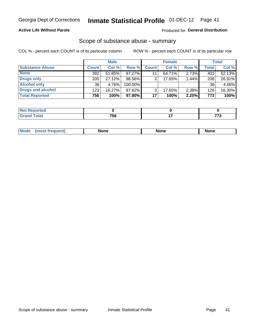## **Active Life Without Parole**

## **Produced for General Distribution**

## Scope of substance abuse - summary

COL % - percent each COUNT is of its particular column

|                        |              | <b>Male</b> |         |              | <b>Female</b> |          |              | <b>Total</b> |
|------------------------|--------------|-------------|---------|--------------|---------------|----------|--------------|--------------|
| <b>Substance Abuse</b> | <b>Count</b> | Col %       | Row %   | <b>Count</b> | Col %         | Row %    | <b>Total</b> | Col %        |
| <b>None</b>            | 392          | 51.85%      | 97.27%  | 11           | 64.71%        | $2.73\%$ | 403          | 52.13%       |
| <b>Drugs only</b>      | 205          | 27.12%      | 98.56%  |              | 17.65%        | 1.44%    | 208          | 26.91%       |
| <b>Alcohol only</b>    | 36           | 4.76%       | 100.00% |              |               |          | 36           | 4.66%        |
| Drugs and alcohol      | 123          | $16.27\%$   | 97.62%  |              | 17.65%        | 2.38%    | 126          | 16.30%       |
| <b>Total Reported</b>  | 756          | 100%        | 97.80%  | 17           | 100%          | 2.20%    | 773          | 100%         |

| <b>Reported</b><br>' NOL |     |     |
|--------------------------|-----|-----|
| <b>Total</b><br>$\sim$   | 756 | --- |

|  | Mode | None | <b>None</b> | None |
|--|------|------|-------------|------|
|--|------|------|-------------|------|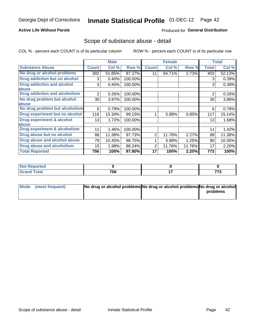## **Active Life Without Parole**

## **Produced for General Distribution**

## Scope of substance abuse - detail

COL % - percent each COUNT is of its particular column

|                                         |                | <b>Male</b> |         |              | <b>Female</b> |        |                  | <b>Total</b> |
|-----------------------------------------|----------------|-------------|---------|--------------|---------------|--------|------------------|--------------|
| <b>Substance Abuse</b>                  | <b>Count</b>   | Col %       | Row %   | <b>Count</b> | Col %         | Row %  | <b>Total</b>     | Col %        |
| No drug or alcohol problems             | 392            | 51.85%      | 97.27%  | 11           | 64.71%        | 2.73%  | 403              | 52.13%       |
| Drug addiction but no alcohol           | 3              | 0.40%       | 100.00% |              |               |        | 3                | 0.39%        |
| <b>Drug addiction and alcohol</b>       | 3              | 0.40%       | 100.00% |              |               |        | 3                | 0.39%        |
| abuse                                   |                |             |         |              |               |        |                  |              |
| <b>Drug addiction and alcoholism</b>    | $\overline{2}$ | 0.26%       | 100.00% |              |               |        | $\overline{2}$   | 0.26%        |
| No drug problem but alcohol             | 30             | 3.97%       | 100.00% |              |               |        | 30               | 3.88%        |
| abuse                                   |                |             |         |              |               |        |                  |              |
| No drug problem but alcoholism          | 6              | 0.79%       | 100.00% |              |               |        | 6                | 0.78%        |
| Drug experiment but no alcohol          | 116            | 15.34%      | 99.15%  |              | 5.88%         | 0.85%  | 117              | 15.14%       |
| <b>Drug experiment &amp; alcohol</b>    | 13             | 1.72%       | 100.00% |              |               |        | 13               | 1.68%        |
| abuse                                   |                |             |         |              |               |        |                  |              |
| <b>Drug experiment &amp; alcoholism</b> | 11             | 1.46%       | 100.00% |              |               |        | 11               | 1.42%        |
| Drug abuse but no alcohol               | 86             | 11.38%      | 97.73%  | 2            | 11.76%        | 2.27%  | 88               | 11.38%       |
| Drug abuse and alcohol abuse            | 79             | 10.45%      | 98.75%  |              | 5.88%         | 1.25%  | 80               | 10.35%       |
| <b>Drug abuse and alcoholism</b>        | 15             | 1.98%       | 88.24%  | 2            | 11.76%        | 11.76% | 17               | 2.20%        |
| <b>Total Reported</b>                   | 756            | 100%        | 97.80%  | 17           | 100%          | 2.20%  | $\overline{773}$ | 100%         |

| Reported<br><b>NOT</b> |     |     |
|------------------------|-----|-----|
| <b>otal</b>            | 756 | --- |

| Mode (most frequent) | No drug or alcohol problems No drug or alcohol problems No drug or alcohol |          |
|----------------------|----------------------------------------------------------------------------|----------|
|                      |                                                                            | problems |
|                      |                                                                            |          |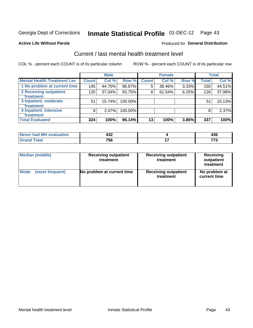# Inmate Statistical Profile 01-DEC-12 Page 43

### **Active Life Without Parole**

## **Produced for General Distribution**

## Current / last mental health treatment level

COL % - percent each COUNT is of its particular column

|                                    |              | <b>Male</b> |         |                 | <b>Female</b> |       |              | <b>Total</b> |
|------------------------------------|--------------|-------------|---------|-----------------|---------------|-------|--------------|--------------|
| <b>Mental Health Treatment Lev</b> | <b>Count</b> | Col%        | Row %   | <b>Count</b>    | Col%          | Row % | <b>Total</b> | Col %        |
| 1 No problem at current time       | 145          | 44.75%      | 96.67%  | 5               | 38.46%        | 3.33% | 150          | 44.51%       |
| 2 Receiving outpatient             | 120          | 37.04%      | 93.75%  | 8               | 61.54%        | 6.25% | 128          | 37.98%       |
| <b>Treatment</b>                   |              |             |         |                 |               |       |              |              |
| 3 Inpatient, moderate              | 51           | 15.74%      | 100.00% |                 |               |       | 51           | 15.13%       |
| <b>Treatment</b>                   |              |             |         |                 |               |       |              |              |
| 4 Inpatient, intensive             | 8            | 2.47%       | 100.00% |                 |               |       | 8            | 2.37%        |
| <b>Treatment</b>                   |              |             |         |                 |               |       |              |              |
| <b>Total Evaluated</b>             | 324          | 100%        | 96.14%  | 13 <sub>1</sub> | 100%          | 3.86% | 337          | 100%         |

| Never had MH evaluation | י כי<br>4JZ | <br>マソし |
|-------------------------|-------------|---------|
| Total                   | 756         | --      |

| <b>Median (middle)</b> | <b>Receiving outpatient</b><br>treatment | <b>Receiving outpatient</b><br>treatment | <b>Receiving</b><br>outpatient<br>treatment |
|------------------------|------------------------------------------|------------------------------------------|---------------------------------------------|
| <b>Mode</b>            | No problem at current time               | <b>Receiving outpatient</b>              | No problem at                               |
| (most frequent)        |                                          | treatment                                | current time                                |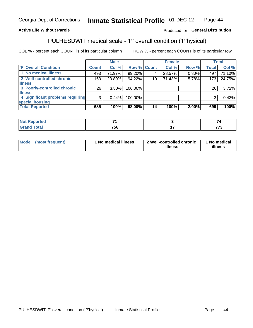#### Inmate Statistical Profile 01-DEC-12 Page 44

## **Active Life Without Parole**

### Produced for General Distribution

## PULHESDWIT medical scale - 'P' overall condition ('P'hysical)

COL % - percent each COUNT is of its particular column

|                                  |                | <b>Male</b> |                    |    | <b>Female</b> |       |                 | <b>Total</b> |
|----------------------------------|----------------|-------------|--------------------|----|---------------|-------|-----------------|--------------|
| 'P' Overall Condition            | Count l        | Col %       | <b>Row % Count</b> |    | Col %         | Row % | <b>Total</b>    | Col %        |
| 1 No medical illness             | 493            | 71.97%      | 99.20%             |    | 28.57%        | 0.80% | 497             | 71.10%       |
| 2 Well-controlled chronic        | 163            | 23.80%      | 94.22%             | 10 | 71.43%        | 5.78% | 173             | 24.75%       |
| <b>illness</b>                   |                |             |                    |    |               |       |                 |              |
| 3 Poorly-controlled chronic      | 26             | $3.80\%$    | 100.00%            |    |               |       | 26 <sub>1</sub> | 3.72%        |
| <b>illness</b>                   |                |             |                    |    |               |       |                 |              |
| 4 Significant problems requiring | 3 <sup>1</sup> | 0.44%       | 100.00%            |    |               |       | 3               | 0.43%        |
| special housing                  |                |             |                    |    |               |       |                 |              |
| <b>Total Reported</b>            | 685            | 100%        | 98.00%             | 14 | 100%          | 2.00% | 699             | 100%         |

| TE O          | -   |           |         |
|---------------|-----|-----------|---------|
| $\sim$<br>$-$ | --- | --<br>. . | $- - -$ |

| <b>Mode</b> | (most frequent) | 1 No medical illness | 2 Well-controlled chronic<br>illness | 1 No medical<br>illness |
|-------------|-----------------|----------------------|--------------------------------------|-------------------------|
|-------------|-----------------|----------------------|--------------------------------------|-------------------------|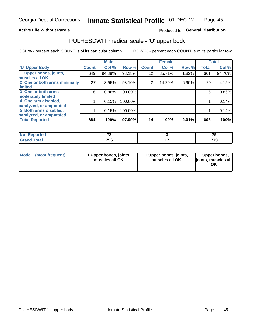### **Active Life Without Parole**

## Produced for General Distribution

# PULHESDWIT medical scale - 'U' upper body

COL % - percent each COUNT is of its particular column

|                              |              | <b>Male</b> |         |              | <b>Female</b> |       |              | <b>Total</b> |
|------------------------------|--------------|-------------|---------|--------------|---------------|-------|--------------|--------------|
| <b>'U' Upper Body</b>        | <b>Count</b> | Col %       | Row %   | <b>Count</b> | Col %         | Row % | <b>Total</b> | Col %        |
| 1 Upper bones, joints,       | 649          | 94.88%      | 98.18%  | 12           | 85.71%        | 1.82% | 661          | 94.70%       |
| muscles all OK               |              |             |         |              |               |       |              |              |
| 2 One or both arms minimally | 27           | 3.95%       | 93.10%  | 2            | 14.29%        | 6.90% | 29           | 4.15%        |
| limited                      |              |             |         |              |               |       |              |              |
| 3 One or both arms           | 6            | 0.88%       | 100.00% |              |               |       | 6            | 0.86%        |
| moderately limited           |              |             |         |              |               |       |              |              |
| 4 One arm disabled,          |              | 0.15%       | 100.00% |              |               |       |              | 0.14%        |
| paralyzed, or amputated      |              |             |         |              |               |       |              |              |
| 5 Both arms disabled,        |              | 0.15%       | 100.00% |              |               |       |              | 0.14%        |
| paralyzed, or amputated      |              |             |         |              |               |       |              |              |
| <b>Total Reported</b>        | 684          | 100%        | 97.99%  | 14           | 100%          | 2.01% | 698          | 100%         |

| <b>Not Reported</b> | $-$       | --  |
|---------------------|-----------|-----|
| <b>Grand Total</b>  | 750<br>סכ | --- |

| Mode<br>(most frequent) | 1 Upper bones, joints,<br>muscles all OK | 1 Upper bones, joints,<br>muscles all OK | 1 Upper bones,<br>joints, muscles all<br>ΟK |
|-------------------------|------------------------------------------|------------------------------------------|---------------------------------------------|
|-------------------------|------------------------------------------|------------------------------------------|---------------------------------------------|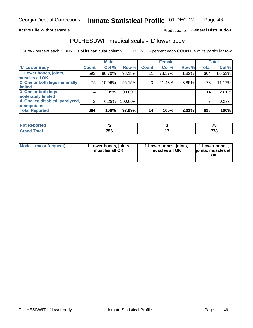### **Active Life Without Parole**

## Produced for General Distribution

## PULHESDWIT medical scale - 'L' lower body

COL % - percent each COUNT is of its particular column

|                                |              | <b>Male</b> |           |              | <b>Female</b> |       |              | <b>Total</b> |
|--------------------------------|--------------|-------------|-----------|--------------|---------------|-------|--------------|--------------|
| 'L' Lower Body                 | <b>Count</b> | Col %       | Row %     | <b>Count</b> | Col %         | Row % | <b>Total</b> | Col %        |
| 1 Lower bones, joints,         | 593          | 86.70%      | $98.18\%$ | 11           | 78.57%        | 1.82% | 604          | 86.53%       |
| muscles all OK                 |              |             |           |              |               |       |              |              |
| 2 One or both legs minimally   | 75           | 10.96%      | 96.15%    | 3            | 21.43%        | 3.85% | 78           | 11.17%       |
| limited                        |              |             |           |              |               |       |              |              |
| 3 One or both legs             | 14           | 2.05%       | 100.00%   |              |               |       | 14           | 2.01%        |
| moderately limited             |              |             |           |              |               |       |              |              |
| 4 One leg disabled, paralyzed, | 2            | 0.29%       | 100.00%   |              |               |       | 2            | 0.29%        |
| or amputated                   |              |             |           |              |               |       |              |              |
| <b>Total Reported</b>          | 684          | 100%        | 97.99%    | 14           | 100%          | 2.01% | 698          | 100%         |

| <b>prted</b><br>$\blacksquare$ Not $\blacksquare$<br>. <b>.</b> | --   | --      |
|-----------------------------------------------------------------|------|---------|
| <b>Total</b>                                                    | 75C  | $- - -$ |
| .                                                               | סכ י | . .     |

| Mode | (most frequent) | 1 Lower bones, joints,<br>muscles all OK | 1 Lower bones, joints,<br>muscles all OK | 1 Lower bones,<br>ljoints, muscles all<br>ΟK |
|------|-----------------|------------------------------------------|------------------------------------------|----------------------------------------------|
|------|-----------------|------------------------------------------|------------------------------------------|----------------------------------------------|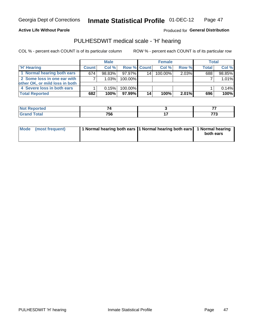**Active Life Without Parole** 

Produced for General Distribution

## PULHESDWIT medical scale - 'H' hearing

COL % - percent each COUNT is of its particular column

|                                | <b>Male</b>  |           |          | <b>Female</b>      |         |          | Total |        |
|--------------------------------|--------------|-----------|----------|--------------------|---------|----------|-------|--------|
| <b>H' Hearing</b>              | <b>Count</b> | Col %     |          | <b>Row % Count</b> | Col %   | Row %    | Total | Col %  |
| 1 Normal hearing both ears     | 674          | $98.83\%$ | 97.97%   | 14                 | 100.00% | 2.03%    | 688   | 98.85% |
| 2 Some loss in one ear with    |              | 1.03%     | 100.00%  |                    |         |          |       | 1.01%  |
| other OK, or mild loss in both |              |           |          |                    |         |          |       |        |
| 4 Severe loss in both ears     |              | 0.15%     | 100.00%  |                    |         |          |       | 0.14%  |
| <b>Total Reported</b>          | 682          | 100%      | 97.99% I | 14 <sub>1</sub>    | 100%    | $2.01\%$ | 696   | 100%   |

| rteo         |     | --                      |
|--------------|-----|-------------------------|
| $C0+0$<br>-- | 756 | $- - -$<br>70<br>$\sim$ |

| Mode (most frequent) | 1 Normal hearing both ears 1 Normal hearing both ears 1 Normal hearing |           |
|----------------------|------------------------------------------------------------------------|-----------|
|                      |                                                                        | both ears |
|                      |                                                                        |           |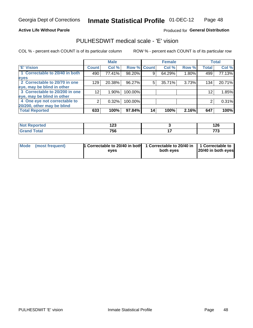### **Active Life Without Parole**

## Produced for General Distribution

## PULHESDWIT medical scale - 'E' vision

COL % - percent each COUNT is of its particular column

|                                |                 | <b>Male</b> |             |    | <b>Female</b> |       |              | <b>Total</b> |
|--------------------------------|-----------------|-------------|-------------|----|---------------|-------|--------------|--------------|
| <b>E' Vision</b>               | <b>Count</b>    | Col %       | Row % Count |    | Col %         | Row % | <b>Total</b> | Col %        |
| 1 Correctable to 20/40 in both | 490             | 77.41%      | 98.20%      |    | 64.29%        | 1.80% | 499          | 77.13%       |
| eyes                           |                 |             |             |    |               |       |              |              |
| 2 Correctable to 20/70 in one  | 129             | 20.38%      | 96.27%      | 5  | 35.71%        | 3.73% | 134          | 20.71%       |
| eye, may be blind in other     |                 |             |             |    |               |       |              |              |
| 3 Correctable to 20/200 in one | 12 <sub>1</sub> | $1.90\%$    | 100.00%     |    |               |       | 12           | 1.85%        |
| eye, may be blind in other     |                 |             |             |    |               |       |              |              |
| 4 One eye not correctable to   | 2               | 0.32%       | 100.00%     |    |               |       | 2            | 0.31%        |
| 20/200, other may be blind     |                 |             |             |    |               |       |              |              |
| <b>Total Reported</b>          | 633             | 100%        | 97.84%      | 14 | 100%          | 2.16% | 647          | 100%         |

| norted<br><b>NOT REDO</b><br>$\sim$ | י ה<br>14V |     | 14 V     |
|-------------------------------------|------------|-----|----------|
| <b>Total</b>                        | 756        | - - | 77c<br>. |

| Mode (most frequent) | <sup>1</sup> Correctable to 20/40 in both 1 Correctable to 20/40 in 1 Correctable to<br>eves | both eyes | 20/40 in both eyes |
|----------------------|----------------------------------------------------------------------------------------------|-----------|--------------------|
|                      |                                                                                              |           |                    |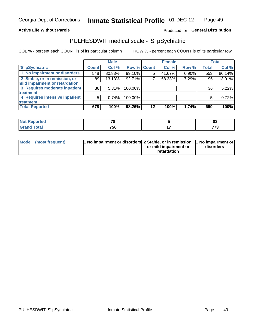### **Active Life Without Parole**

## Produced for General Distribution

## PULHESDWIT medical scale - 'S' pSychiatric

COL % - percent each COUNT is of its particular column

|                                |              | <b>Male</b> |                    |    | <b>Female</b> |       |              | Total  |
|--------------------------------|--------------|-------------|--------------------|----|---------------|-------|--------------|--------|
| 'S' pSychiatric                | <b>Count</b> | Col %       | <b>Row % Count</b> |    | Col %         | Row % | <b>Total</b> | Col %  |
| 1 No impairment or disorders   | 548          | 80.83%      | 99.10%             | 5  | 41.67%        | 0.90% | 553          | 80.14% |
| 2 Stable, or in remission, or  | 89           | 13.13%      | 92.71%             |    | 58.33%        | 7.29% | 96           | 13.91% |
| mild impairment or retardation |              |             |                    |    |               |       |              |        |
| 3 Requires moderate inpatient  | 36           | 5.31%       | 100.00%            |    |               |       | 36           | 5.22%  |
| treatment                      |              |             |                    |    |               |       |              |        |
| 4 Requires intensive inpatient | 5            | 0.74%       | 100.00%            |    |               |       | 5            | 0.72%  |
| treatment                      |              |             |                    |    |               |       |              |        |
| <b>Total Reported</b>          | 678          | 100%        | 98.26%             | 12 | 100%          | 1.74% | 690          | 100%   |

| тео | 70        | ~<br>o-              |
|-----|-----------|----------------------|
|     | 756<br>__ | ---<br>ں ہ<br>$\sim$ |

| Mode (most frequent) | <sup>1</sup> No impairment or disorders 2 Stable, or in remission, <sup>1</sup> No impairment or |                       |           |
|----------------------|--------------------------------------------------------------------------------------------------|-----------------------|-----------|
|                      |                                                                                                  | or mild impairment or | disorders |
|                      |                                                                                                  | retardation           |           |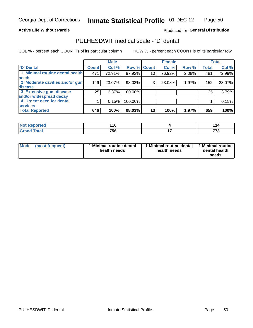### **Active Life Without Parole**

## Produced for General Distribution

## PULHESDWIT medical scale - 'D' dental

COL % - percent each COUNT is of its particular column

|                                 |                    | <b>Male</b> |         |                 | <b>Female</b> |       |              | <b>Total</b> |
|---------------------------------|--------------------|-------------|---------|-----------------|---------------|-------|--------------|--------------|
| <b>D'</b> Dental                | Count <sup>1</sup> | Col %       |         | Row % Count     | Col %         | Row % | <b>Total</b> | Col %        |
| 1 Minimal routine dental health | 471                | 72.91%      | 97.92%  | 10 <sub>1</sub> | 76.92%        | 2.08% | 481          | 72.99%       |
| <b>needs</b>                    |                    |             |         |                 |               |       |              |              |
| 2 Moderate cavities and/or gum  | 149                | 23.07%      | 98.03%  | 3               | 23.08%        | 1.97% | 152          | 23.07%       |
| disease                         |                    |             |         |                 |               |       |              |              |
| 3 Extensive gum disease         | 25                 | 3.87%       | 100.00% |                 |               |       | 25           | 3.79%        |
| and/or widespread decay         |                    |             |         |                 |               |       |              |              |
| 4 Urgent need for dental        |                    | 0.15%       | 100.00% |                 |               |       |              | 0.15%        |
| <b>services</b>                 |                    |             |         |                 |               |       |              |              |
| <b>Total Reported</b>           | 646                | 100%        | 98.03%  | 13              | 100%          | 1.97% | 659          | 100%         |

| <b>Not Reported</b> | .<br>л л<br>. . |            |          |
|---------------------|-----------------|------------|----------|
| <b>Total</b>        | 756             | . .<br>. . | 77c<br>. |

| <b>Mode</b> | (most frequent) | Minimal routine dental<br>health needs | 1 Minimal routine dental 11 Minimal routine<br>health needs | dental health<br>needs |
|-------------|-----------------|----------------------------------------|-------------------------------------------------------------|------------------------|
|-------------|-----------------|----------------------------------------|-------------------------------------------------------------|------------------------|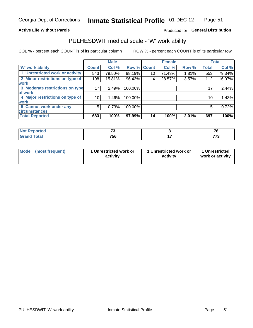### **Active Life Without Parole**

## Produced for General Distribution

## PULHESDWIT medical scale - 'W' work ability

COL % - percent each COUNT is of its particular column

|                                 |              | <b>Male</b> |         |             | <b>Female</b> |       |              | <b>Total</b> |
|---------------------------------|--------------|-------------|---------|-------------|---------------|-------|--------------|--------------|
| <b>W' work ability</b>          | <b>Count</b> | Col %       |         | Row % Count | Col %         | Row % | <b>Total</b> | Col %        |
| 1 Unrestricted work or activity | 543          | 79.50%      | 98.19%  | 10          | 71.43%        | 1.81% | 553          | 79.34%       |
| 2 Minor restrictions on type of | 108          | 15.81%      | 96.43%  | 4           | 28.57%        | 3.57% | 112          | 16.07%       |
| <b>work</b>                     |              |             |         |             |               |       |              |              |
| 3 Moderate restrictions on type | 17           | 2.49%       | 100.00% |             |               |       | 17           | 2.44%        |
| of work                         |              |             |         |             |               |       |              |              |
| 4 Major restrictions on type of | 10           | $1.46\%$    | 100.00% |             |               |       | 10           | 1.43%        |
| <b>work</b>                     |              |             |         |             |               |       |              |              |
| 5 Cannot work under any         | 5            | 0.73%       | 100.00% |             |               |       | 5            | 0.72%        |
| <b>circumstances</b>            |              |             |         |             |               |       |              |              |
| <b>Total Reported</b>           | 683          | 100%        | 97.99%  | 14          | 100%          | 2.01% | 697          | 100%         |

| <b>Not Reported</b> | $\sim$                 | $\rightarrow$ |
|---------------------|------------------------|---------------|
| <b>Grand Total</b>  | 75 <sub>C</sub><br>้วง | 770<br>.      |

| <b>Mode</b> | (most frequent) | 1 Unrestricted work or<br>activity | 1 Unrestricted work or<br>activity | 1 Unrestricted<br>work or activity |
|-------------|-----------------|------------------------------------|------------------------------------|------------------------------------|
|-------------|-----------------|------------------------------------|------------------------------------|------------------------------------|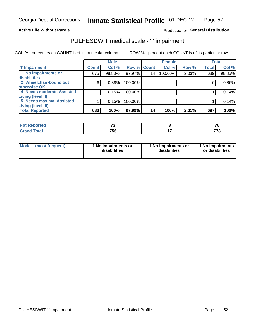### **Active Life Without Parole**

## Produced for General Distribution

## PULHESDWIT medical scale - 'I' impairment

|                           |              | <b>Male</b> |             |    | <b>Female</b> |       |              | <b>Total</b> |
|---------------------------|--------------|-------------|-------------|----|---------------|-------|--------------|--------------|
| <b>T' Impairment</b>      | <b>Count</b> | Col %       | Row % Count |    | Col %         | Row % | <b>Total</b> | Col %        |
| 1 No impairments or       | 675          | 98.83%      | 97.97%      | 14 | 100.00%       | 2.03% | 689          | 98.85%       |
| disabilities              |              |             |             |    |               |       |              |              |
| 2 Wheelchair-bound but    | 6            | 0.88%       | 100.00%     |    |               |       | 6            | 0.86%        |
| otherwise OK              |              |             |             |    |               |       |              |              |
| 4 Needs moderate Assisted |              | 0.15%       | 100.00%     |    |               |       |              | 0.14%        |
| Living (level II)         |              |             |             |    |               |       |              |              |
| 5 Needs maximal Assisted  |              | 0.15%       | 100.00%     |    |               |       |              | 0.14%        |
| <b>Living (level III)</b> |              |             |             |    |               |       |              |              |
| <b>Total Reported</b>     | 683          | 100%        | 97.99%      | 14 | 100%          | 2.01% | 697          | 100%         |

| Reported | $\sim$<br>. .<br>$\sim$ | $\sim$<br>' u |
|----------|-------------------------|---------------|
| Total    | 756                     | ---<br>. .    |

| Mode | (most frequent) | 1 No impairments or<br>disabilities | 1 No impairments or<br>disabilities | 1 No impairments  <br>or disabilities |
|------|-----------------|-------------------------------------|-------------------------------------|---------------------------------------|
|------|-----------------|-------------------------------------|-------------------------------------|---------------------------------------|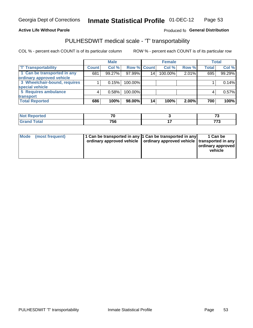### **Active Life Without Parole**

### Produced fo General Distribution

## PULHESDWIT medical scale - 'T' transportability

COL % - percent each COUNT is of its particular column

|                              |              | <b>Male</b> |             |    | <b>Female</b> |       |              | <b>Total</b> |
|------------------------------|--------------|-------------|-------------|----|---------------|-------|--------------|--------------|
| <b>T' Transportability</b>   | <b>Count</b> | Col %       | Row % Count |    | Col %         | Row % | <b>Total</b> | Col %        |
| 1 Can be transported in any  | 681          | 99.27%      | 97.99%      | 14 | 100.00%       | 2.01% | 695          | 99.29%       |
| ordinary approved vehicle    |              |             |             |    |               |       |              |              |
| 3 Wheelchair-bound, requires |              | 0.15%       | 100.00%     |    |               |       |              | 0.14%        |
| special vehicle              |              |             |             |    |               |       |              |              |
| 5 Requires ambulance         |              | 0.58%       | 100.00%     |    |               |       |              | 0.57%        |
| transport                    |              |             |             |    |               |       |              |              |
| <b>Total Reported</b>        | 686          | 100%        | 98.00%      | 14 | 100%          | 2.00% | 700          | 100%         |

| Reported     | --  | - - |
|--------------|-----|-----|
| <b>Total</b> | 756 | --- |

| Mode (most frequent) | 1 Can be transported in any 1 Can be transported in any | ordinary approved vehicle   ordinary approved vehicle   transported in any | 1 Can be<br>ordinary approved<br>vehicle |
|----------------------|---------------------------------------------------------|----------------------------------------------------------------------------|------------------------------------------|
|                      |                                                         |                                                                            |                                          |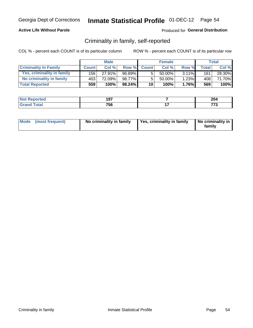## **Active Life Without Parole**

## Produced for General Distribution

## Criminality in family, self-reported

COL % - percent each COUNT is of its particular column

|                              |              | <b>Male</b> |           |              | <b>Female</b> |          |                    | Total  |
|------------------------------|--------------|-------------|-----------|--------------|---------------|----------|--------------------|--------|
| <b>Criminality In Family</b> | <b>Count</b> | Col %       | Row %     | <b>Count</b> | Col %         | Row %    | Total <sub>1</sub> | Col %  |
| Yes, criminality in family   | 156 l        | 27.91%      | 96.89%    | 5            | 50.00%        | $3.11\%$ | 161                | 28.30% |
| No criminality in family     | 403          | 72.09%      | 98.77%    | 5            | $50.00\%$ ,   | 1.23%    | 408 <sup>1</sup>   | 71.70% |
| <b>Total Reported</b>        | 559          | 100%        | $98.24\%$ | 10           | 100%          | 1.76%    | 569                | 100%   |

| Reported<br>NO | 197 | ົ<br>∠∪→ |
|----------------|-----|----------|
| <b>otal</b>    | 756 |          |

|  | Mode (most frequent) | No criminality in family | Yes, criminality in family | No criminality in<br>family |
|--|----------------------|--------------------------|----------------------------|-----------------------------|
|--|----------------------|--------------------------|----------------------------|-----------------------------|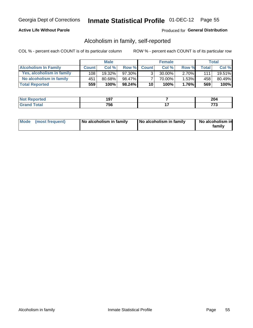## **Active Life Without Parole**

## Produced for General Distribution

## Alcoholism in family, self-reported

COL % - percent each COUNT is of its particular column

|                             |              | <b>Male</b> |           |                 | <b>Female</b> |          |       | Total   |
|-----------------------------|--------------|-------------|-----------|-----------------|---------------|----------|-------|---------|
| <b>Alcoholism In Family</b> | <b>Count</b> | Col%        | Row %     | <b>Count</b>    | Col%          | Row %    | Total | Col %   |
| Yes, alcoholism in family   | 108          | 19.32%      | 97.30%    | 3 <sub>1</sub>  | $30.00\%$     | $2.70\%$ | 111   | 19.51%  |
| No alcoholism in family     | 451          | 80.68%      | 98.47%    |                 | 70.00%        | 1.53%    | 458   | 80.49%  |
| <b>Total Reported</b>       | 559          | 100%        | $98.24\%$ | 10 <sub>1</sub> | 100%          | $1.76\%$ | 569   | $100\%$ |

| <b>Not Reported</b>     | 107<br>וטו | ົ<br>LV-T |
|-------------------------|------------|-----------|
| <b>c</b> otal<br>l Gran | 756        |           |

|  | Mode (most frequent) | No alcoholism in family | No alcoholism in family | No alcoholism in<br>family |
|--|----------------------|-------------------------|-------------------------|----------------------------|
|--|----------------------|-------------------------|-------------------------|----------------------------|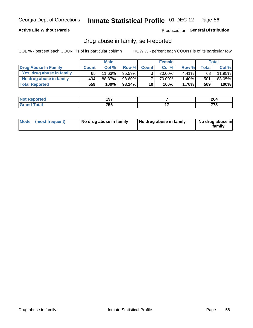## **Active Life Without Parole**

## Produced for General Distribution

## Drug abuse in family, self-reported

COL % - percent each COUNT is of its particular column

|                           |              | <b>Male</b> |           |                 | <b>Female</b> |          |              | Total   |
|---------------------------|--------------|-------------|-----------|-----------------|---------------|----------|--------------|---------|
| Drug Abuse In Family      | <b>Count</b> | Col%        | Row %     | <b>Count</b>    | Col%          | Row %    | <b>Total</b> | Col %   |
| Yes, drug abuse in family | 65           | 11.63%      | 95.59%    | 3 <sub>1</sub>  | $30.00\%$     | $4.41\%$ | 68           | 11.95%  |
| No drug abuse in family   | 494          | 88.37%      | 98.60%    |                 | 70.00%        | 1.40%    | 501          | 88.05%  |
| <b>Total Reported</b>     | 559          | 100%        | $98.24\%$ | 10 <sub>1</sub> | 100%          | $1.76\%$ | 569          | $100\%$ |

| Reported<br>NO | 197 | ົ<br>∠∪→ |
|----------------|-----|----------|
| <b>otal</b>    | 756 |          |

|  | Mode (most frequent) | No drug abuse in family | No drug abuse in family | No drug abuse in<br>family |
|--|----------------------|-------------------------|-------------------------|----------------------------|
|--|----------------------|-------------------------|-------------------------|----------------------------|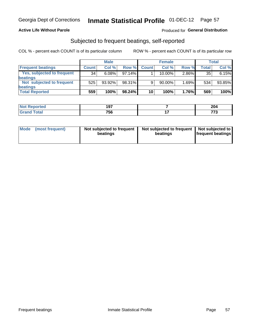## **Active Life Without Parole**

## **Produced for General Distribution**

## Subjected to frequent beatings, self-reported

COL % - percent each COUNT is of its particular column

|                                   |              | <b>Male</b> |           |              | <b>Female</b> |       |       | Total  |
|-----------------------------------|--------------|-------------|-----------|--------------|---------------|-------|-------|--------|
| <b>Frequent beatings</b>          | <b>Count</b> | Col %       | Row %     | <b>Count</b> | Col %         | Row % | Total | Col %  |
| <b>Yes, subjected to frequent</b> | 34           | 6.08%       | 97.14%    |              | 10.00%        | 2.86% | 35    | 6.15%  |
| <b>beatings</b>                   |              |             |           |              |               |       |       |        |
| Not subjected to frequent         | 525          | 93.92%      | 98.31%    | 9            | 90.00%        | 1.69% | 534   | 93.85% |
| <b>beatings</b>                   |              |             |           |              |               |       |       |        |
| <b>Total Reported</b>             | 559          | 100%        | $98.24\%$ | 10           | 100%          | 1.76% | 569   | 100%   |

| <b>Not Reported</b>          | 107<br>וטו | 204      |
|------------------------------|------------|----------|
| <b>Total</b><br><b>Grand</b> | 756        | 770<br>. |

| Mode | (most frequent) | Not subjected to frequent<br>beatings | Not subjected to frequent   Not subjected to<br>beatings | <b>frequent beatings</b> |
|------|-----------------|---------------------------------------|----------------------------------------------------------|--------------------------|
|      |                 |                                       |                                                          |                          |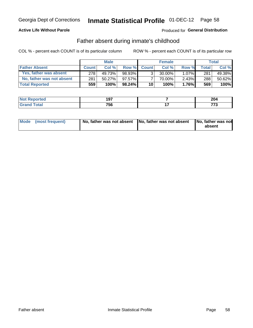## **Active Life Without Parole**

## **Produced for General Distribution**

## Father absent during inmate's childhood

COL % - percent each COUNT is of its particular column

|                           |              | <b>Male</b> |           |                | <b>Female</b> |          |              | <b>Total</b> |
|---------------------------|--------------|-------------|-----------|----------------|---------------|----------|--------------|--------------|
| <b>Father Absent</b>      | <b>Count</b> | Col%        | Row %     | <b>Count</b>   | Col%          | Row %    | <b>Total</b> | Col %        |
| Yes, father was absent    | 278          | 49.73%      | 98.93%    | 3 <sub>1</sub> | $30.00\%$     | $1.07\%$ | 281          | 49.38%       |
| No, father was not absent | 281          | $50.27\%$   | 97.57%I   |                | 70.00%        | $2.43\%$ | 288          | 50.62%       |
| <b>Total Reported</b>     | 559          | $100\%$     | $98.24\%$ | 10             | 100%          | 1.76%    | 569          | 100%         |

| <b>Not Reported</b>     | 107<br>וטו | ົ<br>LV-T |
|-------------------------|------------|-----------|
| <b>c</b> otal<br>l Gran | 756        |           |

|  | Mode (most frequent) | No, father was not absent No, father was not absent |  | No, father was not<br>absent |
|--|----------------------|-----------------------------------------------------|--|------------------------------|
|--|----------------------|-----------------------------------------------------|--|------------------------------|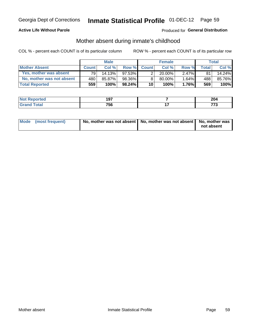## **Active Life Without Parole**

## Produced for General Distribution

## Mother absent during inmate's childhood

COL % - percent each COUNT is of its particular column

|                           |              | <b>Male</b> |           |                 | <b>Female</b> |          |         | Total  |
|---------------------------|--------------|-------------|-----------|-----------------|---------------|----------|---------|--------|
| <b>Mother Absent</b>      | <b>Count</b> | Col%        | Row %     | <b>Count</b>    | Col %         | Row %    | Total i | Col %  |
| Yes, mother was absent    | 791          | 14.13%      | $97.53\%$ | $\overline{2}$  | $20.00\%$     | $2.47\%$ | 81      | 14.24% |
| No, mother was not absent | 480          | 85.87%      | 98.36%    | 8               | 80.00%        | 1.64%    | 488     | 85.76% |
| <b>Total Reported</b>     | 559          | 100%        | $98.24\%$ | 10 <sup>1</sup> | 100%          | $1.76\%$ | 569     | 100%   |

| Reported<br>NO | 197 | ົ<br>∠∪→ |
|----------------|-----|----------|
| <b>otal</b>    | 756 |          |

| Mode (most frequent) | No, mother was not absent   No, mother was not absent   No, mother was | not absent |
|----------------------|------------------------------------------------------------------------|------------|
|                      |                                                                        |            |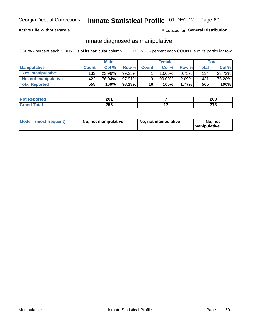## **Active Life Without Parole**

## Produced for General Distribution

## Inmate diagnosed as manipulative

COL % - percent each COUNT is of its particular column

|                          |              | <b>Male</b> |           |              | <b>Female</b> |       |              | Total  |
|--------------------------|--------------|-------------|-----------|--------------|---------------|-------|--------------|--------|
| <b>Manipulative</b>      | <b>Count</b> | Col%        | Row %     | <b>Count</b> | Col %         | Row % | <b>Total</b> | Col %  |
| <b>Yes, manipulative</b> | 133          | 23.96%      | $99.25\%$ |              | 10.00%        | 0.75% | 134          | 23.72% |
| No, not manipulative     | 422          | 76.04%      | $97.91\%$ | 9            | 90.00%        | 2.09% | 431          | 76.28% |
| <b>Total Reported</b>    | 555!         | 100%        | $98.23\%$ | 10           | 100%          | 1.77% | 565          | 100%   |

| <b>Not Reported</b> | י הר<br>ZU I | 208 |
|---------------------|--------------|-----|
| `otal<br>' Grano    | 756          | ––  |

| Mode | (most frequent) | No, not manipulative | ∣ No. not manipulative | not<br>No.<br><b>I</b> manipulative |
|------|-----------------|----------------------|------------------------|-------------------------------------|
|------|-----------------|----------------------|------------------------|-------------------------------------|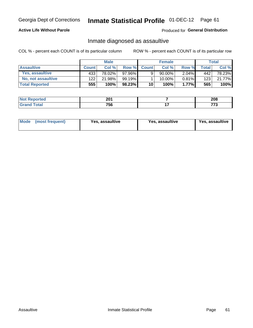# Inmate Statistical Profile 01-DEC-12 Page 61

## **Active Life Without Parole**

### **Produced for General Distribution**

## Inmate diagnosed as assaultive

COL % - percent each COUNT is of its particular column

|                       |              | <b>Male</b> |        |              | <b>Female</b> |          |       | Total  |
|-----------------------|--------------|-------------|--------|--------------|---------------|----------|-------|--------|
| <b>Assaultive</b>     | <b>Count</b> | Col%        | Row %  | <b>Count</b> | Col%          | Row %    | Total | Col %  |
| Yes, assaultive       | 433          | 78.02%      | 97.96% | 9            | 90.00%        | $2.04\%$ | 442   | 78.23% |
| No, not assaultive    | 122          | 21.98%      | 99.19% |              | $10.00\%$ .   | $0.81\%$ | 123   | 21.77% |
| <b>Total Reported</b> | 555          | 100%        | 98.23% | 10           | 100%          | $1.77\%$ | 565   | 100%   |

| <b>Not</b><br><b>Reported</b> | 201 | nne<br>ZUU |
|-------------------------------|-----|------------|
| <b>jotal</b>                  | 756 |            |

| <b>Mode</b><br>(most frequent) | <b>Yes, assaultive</b> | Yes, assaultive | <b>Yes, assaultive</b> |
|--------------------------------|------------------------|-----------------|------------------------|
|--------------------------------|------------------------|-----------------|------------------------|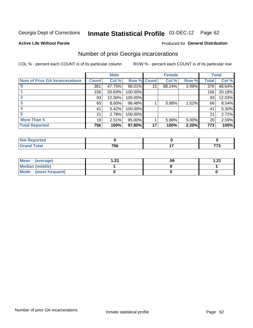# Inmate Statistical Profile 01-DEC-12 Page 62

### **Active Life Without Parole**

## **Produced for General Distribution**

## Number of prior Georgia incarcerations

COL % - percent each COUNT is of its particular column

|                                       | <b>Male</b>  |          |                    |    | <b>Female</b> | <b>Total</b> |       |        |
|---------------------------------------|--------------|----------|--------------------|----|---------------|--------------|-------|--------|
| <b>Num of Prior GA Incarcerations</b> | <b>Count</b> | Col %    | <b>Row % Count</b> |    | Col %         | Row %        | Total | Col %  |
|                                       | 361          | 47.75%   | 96.01%             | 15 | 88.24%        | 3.99%        | 376   | 48.64% |
|                                       | 156          | 20.63%   | 100.00%            |    |               |              | 156   | 20.18% |
|                                       | 93           | 12.30%   | 100.00%            |    |               |              | 93    | 12.03% |
| 3                                     | 65           | $8.60\%$ | 98.48%             |    | 5.88%         | 1.52%        | 66    | 8.54%  |
|                                       | 41           | 5.42%    | 100.00%            |    |               |              | 41    | 5.30%  |
|                                       | 21           | 2.78%    | 100.00%            |    |               |              | 21    | 2.72%  |
| <b>More Than 5</b>                    | 19           | 2.51%    | 95.00%             |    | 5.88%         | $5.00\%$     | 20    | 2.59%  |
| <b>Total Reported</b>                 | 756          | 100%     | 97.80%             | 17 | 100%          | 2.20%        | 773   | 100%   |

| neo |                    |               |
|-----|--------------------|---------------|
|     | 75C<br>. .<br>79 U | ララヘ<br>$\sim$ |

| Mean (average)       | 1.23 | .59 | 1 71 |
|----------------------|------|-----|------|
| Median (middle)      |      |     |      |
| Mode (most frequent) |      |     |      |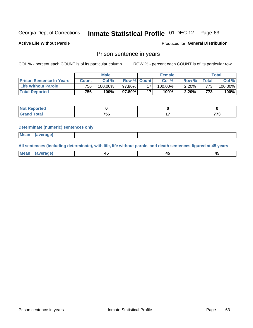#### Inmate Statistical Profile 01-DEC-12 Page 63

**Active Life Without Parole** 

Produced for General Distribution

## Prison sentence in years

COL % - percent each COUNT is of its particular column

ROW % - percent each COUNT is of its particular row

|                                 | <b>Male</b>  |         |                    |    | <b>Female</b> | $\tau$ otal |       |            |
|---------------------------------|--------------|---------|--------------------|----|---------------|-------------|-------|------------|
| <b>Prison Sentence In Years</b> | <b>Count</b> | Col %   | <b>Row % Count</b> |    | $Col \%$      | Row %       | Total | Col %      |
| <b>Life Without Parole</b>      | 756          | 100.00% | 97.80%             |    | 100.00%       | $2.20\%$    | 773.  | $100.00\%$ |
| <b>Total Reported</b>           | 756          | 100%    | 97.80% <b>I</b>    | 47 | 100%          | 2.20%       | 773   | 100%       |

| Not Reported |     |     |
|--------------|-----|-----|
| <b>otal</b>  | 756 | --- |

### **Determinate (numeric) sentences only**

| (average) |             |  |  |
|-----------|-------------|--|--|
|           | <b>Mean</b> |  |  |

All sentences (including determinate), with life, life without parole, and death sentences figured at 45 years

| l Mea<br>апе<br>. | -⊷ |  |
|-------------------|----|--|
|                   |    |  |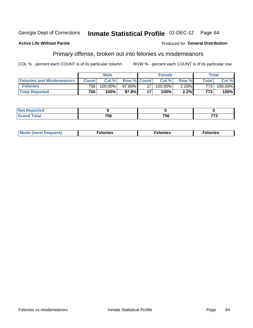#### **Inmate Statistical Profile 01-DEC-12** Georgia Dept of Corrections Page 64

### **Active Life Without Parole**

## **Produced for General Distribution**

## Primary offense, broken out into felonies vs misdemeanors

COL % - percent each COUNT is of its particular column

|                                  | <b>Male</b>  |           |                    | <b>Female</b> |            |          | Total        |         |
|----------------------------------|--------------|-----------|--------------------|---------------|------------|----------|--------------|---------|
| <b>Felonies and Misdemeanors</b> | <b>Count</b> | Col%      | <b>Row % Count</b> |               | Col%       | Row %    | <b>Total</b> | Col %   |
| <b>Felonies</b>                  | 756          | 100.00%   | 97.80%             |               | $100.00\%$ | $2.20\%$ | $773_1$      | 100.00% |
| <b>Total Reported</b>            | 756          | $100\%$ . | 97.8%              |               | 100%       | 2.2%     | 773          | 100%    |

| <b>Not Reported</b>                      |            |     |            |
|------------------------------------------|------------|-----|------------|
| <b>Total</b><br>Gran<br>$\mathbf{v}$ and | フロベ<br>้วง | 756 | 770<br>1 J |

| $Mc$<br>equent)<br>нез<br>$\sim$<br>. | onies<br>. | <b>onies</b><br>. |
|---------------------------------------|------------|-------------------|
|---------------------------------------|------------|-------------------|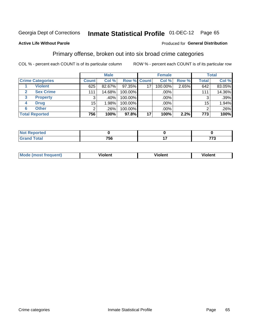#### **Inmate Statistical Profile 01-DEC-12** Page 65

### **Active Life Without Parole**

### Produced for General Distribution

## Primary offense, broken out into six broad crime categories

COL % - percent each COUNT is of its particular column

|                         | <b>Male</b>  |        |             | <b>Female</b> |         |       | <b>Total</b>    |        |
|-------------------------|--------------|--------|-------------|---------------|---------|-------|-----------------|--------|
| <b>Crime Categories</b> | <b>Count</b> | Col %  | Row % Count |               | Col %   | Row % | <b>Total</b>    | Col %  |
| <b>Violent</b>          | 625          | 82.67% | 97.35%      | 17            | 100.00% | 2.65% | 642             | 83.05% |
| <b>Sex Crime</b>        | 111          | 14.68% | 100.00%     |               | .00%    |       | 111             | 14.36% |
| 3<br><b>Property</b>    | 3            | .40%   | 100.00%     |               | .00%    |       |                 | .39%   |
| <b>Drug</b><br>4        | 15           | 1.98%  | 100.00%     |               | .00%    |       | 15 <sub>1</sub> | 1.94%  |
| <b>Other</b><br>6       | 2            | .26%   | 100.00%     |               | .00%    |       | າ               | .26%   |
| <b>Total Reported</b>   | 756          | 100%   | 97.8%       | 17            | 100%    | 2.2%  | 773             | 100%   |

| <b>Not Reported</b> |     |                |  |
|---------------------|-----|----------------|--|
| <b>Total</b><br>una | 756 | $- - -$<br>. . |  |

| M | . | 40 O |
|---|---|------|
|   |   |      |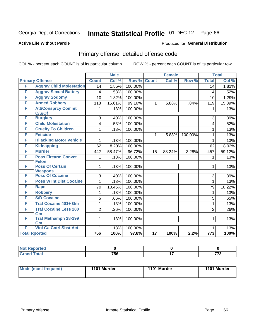# Inmate Statistical Profile 01-DEC-12 Page 66

### **Active Life Without Parole**

### Produced for General Distribution

## Primary offense, detailed offense code

COL % - percent each COUNT is of its particular column

|   |                                        |                | <b>Male</b> |         |                 | <b>Female</b> |         |                  | <b>Total</b> |
|---|----------------------------------------|----------------|-------------|---------|-----------------|---------------|---------|------------------|--------------|
|   | <b>Primary Offense</b>                 | <b>Count</b>   | Col %       | Row %   | <b>Count</b>    | Col %         | Row %   | <b>Total</b>     | Col %        |
| F | <b>Aggrav Child Molestation</b>        | 14             | 1.85%       | 100.00% |                 |               |         | $\overline{14}$  | 1.81%        |
| F | <b>Aggrav Sexual Battery</b>           | 4              | .53%        | 100.00% |                 |               |         | $\overline{4}$   | .52%         |
| F | <b>Aggrav Sodomy</b>                   | 10             | 1.32%       | 100.00% |                 |               |         | 10               | 1.29%        |
| F | <b>Armed Robbery</b>                   | 118            | 15.61%      | 99.16%  | 1.              | 5.88%         | .84%    | 119              | 15.39%       |
| F | <b>Att/Consprcy Commt</b><br>C/S/Of    | 1              | .13%        | 100.00% |                 |               |         | 1                | .13%         |
| F | <b>Burglary</b>                        | 3              | .40%        | 100.00% |                 |               |         | 3                | .39%         |
| F | <b>Child Molestation</b>               | 4              | .53%        | 100.00% |                 |               |         | 4                | .52%         |
| F | <b>Cruelty To Children</b>             | 1              | .13%        | 100.00% |                 |               |         | 1                | .13%         |
| F | <b>Feticide</b>                        |                |             |         | $\mathbf{1}$    | 5.88%         | 100.00% | 1                | .13%         |
| F | <b>Hijacking Motor Vehicle</b>         | 1              | .13%        | 100.00% |                 |               |         | 1                | .13%         |
| F | <b>Kidnapping</b>                      | 62             | 8.20%       | 100.00% |                 |               |         | 62               | 8.02%        |
| F | <b>Murder</b>                          | 442            | 58.47%      | 96.72%  | 15              | 88.24%        | 3.28%   | 457              | 59.12%       |
| F | <b>Poss Firearm Convct</b>             | 1              | .13%        | 100.00% |                 |               |         | 1                | .13%         |
| F | <b>Felon</b><br><b>Poss Of Certain</b> |                |             |         |                 |               |         |                  |              |
|   | <b>Weapons</b>                         | $\mathbf{1}$   | .13%        | 100.00% |                 |               |         | 1                | .13%         |
| F | <b>Poss Of Cocaine</b>                 | 3              | .40%        | 100.00% |                 |               |         | 3                | .39%         |
| F | <b>Poss W Int Dist Cocaine</b>         | $\mathbf{1}$   | .13%        | 100.00% |                 |               |         | $\mathbf 1$      | .13%         |
| F | <b>Rape</b>                            | 79             | 10.45%      | 100.00% |                 |               |         | 79               | 10.22%       |
| F | <b>Robbery</b>                         | 1              | .13%        | 100.00% |                 |               |         | 1                | .13%         |
| F | <b>S/D Cocaine</b>                     | 5              | .66%        | 100.00% |                 |               |         | 5                | .65%         |
| F | <b>Traf Cocaine 401+ Gm</b>            | 1              | .13%        | 100.00% |                 |               |         | 1                | .13%         |
| F | <b>Traf Cocaine Less 200</b>           | $\overline{2}$ | .26%        | 100.00% |                 |               |         | $\overline{2}$   | .26%         |
|   | Gm                                     |                |             |         |                 |               |         |                  |              |
| F | <b>Traf Methamph 28-199</b><br>Gm      | 1              | .13%        | 100.00% |                 |               |         | 1                | .13%         |
| F | <b>Viol Ga Cntrl Sbst Act</b>          | 1.             | .13%        | 100.00% |                 |               |         | 1                | .13%         |
|   |                                        |                |             |         |                 |               |         |                  |              |
|   | <b>Total Rported</b>                   | 756            | 100%        | 97.8%   | $\overline{17}$ | 100%          | 2.2%    | $\overline{773}$ | 100%         |

| المنتشر بالتعبير<br>portea<br><b>IN</b> |                 |     |     |
|-----------------------------------------|-----------------|-----|-----|
| $\sim$                                  | 75 <sub>C</sub> | . . | --- |
| $\sim$ $\sim$ $\sim$ $\sim$             | סכי             |     | ___ |

| Mode (most frequent) | 1101 Murder | 1101 Murder | 1101 Murder |
|----------------------|-------------|-------------|-------------|
|                      |             |             |             |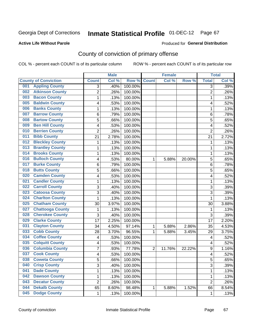### **Active Life Without Parole**

### Produced for **General Distribution**

## County of conviction of primary offense

|                                |                         | <b>Male</b> |         |                | <b>Female</b> |        |                | <b>Total</b> |
|--------------------------------|-------------------------|-------------|---------|----------------|---------------|--------|----------------|--------------|
| <b>County of Conviction</b>    | <b>Count</b>            | Col %       | Row %   | <b>Count</b>   | Col %         | Row %  | <b>Total</b>   | Col %        |
| <b>Appling County</b><br>001   | 3                       | .40%        | 100.00% |                |               |        | 3              | .39%         |
| <b>Atkinson County</b><br>002  | $\overline{2}$          | .26%        | 100.00% |                |               |        | $\overline{2}$ | .26%         |
| <b>Bacon County</b><br>003     | $\mathbf{1}$            | .13%        | 100.00% |                |               |        | 1              | .13%         |
| <b>Baldwin County</b><br>005   | 4                       | .53%        | 100.00% |                |               |        | 4              | .52%         |
| <b>Banks County</b><br>006     | 1                       | .13%        | 100.00% |                |               |        | 1              | .13%         |
| <b>Barrow County</b><br>007    | 6                       | .79%        | 100.00% |                |               |        | 6              | .78%         |
| <b>Bartow County</b><br>008    | 5                       | .66%        | 100.00% |                |               |        | 5              | .65%         |
| <b>Ben Hill County</b><br>009  | 4                       | .53%        | 100.00% |                |               |        | 4              | .52%         |
| <b>Berrien County</b><br>010   | $\overline{2}$          | .26%        | 100.00% |                |               |        | $\overline{2}$ | .26%         |
| <b>Bibb County</b><br>011      | 21                      | 2.78%       | 100.00% |                |               |        | 21             | 2.72%        |
| <b>Bleckley County</b><br>012  | 1                       | .13%        | 100.00% |                |               |        | 1              | .13%         |
| <b>Brantley County</b><br>013  | 1                       | .13%        | 100.00% |                |               |        | 1              | .13%         |
| <b>Brooks County</b><br>014    | $\mathbf{1}$            | .13%        | 100.00% |                |               |        | 1              | .13%         |
| <b>Bulloch County</b><br>016   | 4                       | .53%        | 80.00%  | 1              | 5.88%         | 20.00% | 5              | .65%         |
| <b>Burke County</b><br>017     | 6                       | .79%        | 100.00% |                |               |        | 6              | .78%         |
| <b>Butts County</b><br>018     | 5                       | .66%        | 100.00% |                |               |        | 5              | .65%         |
| <b>Camden County</b><br>020    | 4                       | .53%        | 100.00% |                |               |        | 4              | .52%         |
| <b>Candler County</b><br>021   | $\mathbf{1}$            | .13%        | 100.00% |                |               |        | $\mathbf{1}$   | .13%         |
| <b>Carroll County</b><br>022   | 3                       | .40%        | 100.00% |                |               |        | 3              | .39%         |
| <b>Catoosa County</b><br>023   | $\overline{3}$          | .40%        | 100.00% |                |               |        | $\overline{3}$ | .39%         |
| <b>Charlton County</b><br>024  | 1                       | .13%        | 100.00% |                |               |        | 1              | .13%         |
| <b>Chatham County</b><br>025   | 30                      | 3.97%       | 100.00% |                |               |        | 30             | 3.88%        |
| <b>Chattooga County</b><br>027 | 1                       | .13%        | 100.00% |                |               |        | 1              | .13%         |
| <b>Cherokee County</b><br>028  | 3                       | .40%        | 100.00% |                |               |        | 3              | .39%         |
| <b>Clarke County</b><br>029    | 17                      | 2.25%       | 100.00% |                |               |        | 17             | 2.20%        |
| <b>Clayton County</b><br>031   | 34                      | 4.50%       | 97.14%  | 1              | 5.88%         | 2.86%  | 35             | 4.53%        |
| <b>Cobb County</b><br>033      | 28                      | 3.70%       | 96.55%  | 1              | 5.88%         | 3.45%  | 29             | 3.75%        |
| <b>Coffee County</b><br>034    | $\overline{\mathbf{4}}$ | .53%        | 100.00% |                |               |        | 4              | .52%         |
| <b>Colquitt County</b><br>035  | 4                       | .53%        | 100.00% |                |               |        | 4              | .52%         |
| <b>Columbia County</b><br>036  | 7                       | .93%        | 77.78%  | $\overline{2}$ | 11.76%        | 22.22% | 9              | 1.16%        |
| <b>Cook County</b><br>037      | 4                       | .53%        | 100.00% |                |               |        | 4              | .52%         |
| 038<br><b>Coweta County</b>    | 5                       | .66%        | 100.00% |                |               |        | 5              | .65%         |
| <b>Crisp County</b><br>040     | 3                       | .40%        | 100.00% |                |               |        | 3              | .39%         |
| <b>Dade County</b><br>041      | 1                       | .13%        | 100.00% |                |               |        | $\mathbf{1}$   | .13%         |
| <b>Dawson County</b><br>042    | $\mathbf{1}$            | .13%        | 100.00% |                |               |        | 1              | .13%         |
| <b>Decatur County</b><br>043   | $\overline{c}$          | .26%        | 100.00% |                |               |        | $\overline{2}$ | .26%         |
| <b>Dekalb County</b><br>044    | 65                      | 8.60%       | 98.48%  | 1              | 5.88%         | 1.52%  | 66             | 8.54%        |
| <b>Dodge County</b><br>045     | $\mathbf 1$             | .13%        | 100.00% |                |               |        | 1              | .13%         |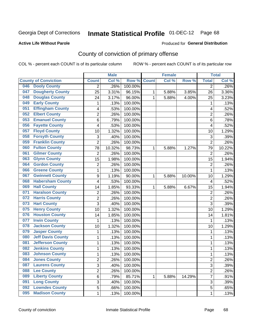### **Active Life Without Parole**

### Produced for **General Distribution**

## County of conviction of primary offense

|                                 |                | <b>Male</b> |         |              | <b>Female</b> |                     |                | <b>Total</b> |
|---------------------------------|----------------|-------------|---------|--------------|---------------|---------------------|----------------|--------------|
| <b>County of Conviction</b>     | <b>Count</b>   | Col %       | Row %   | <b>Count</b> | Col %         | Row %               | <b>Total</b>   | Col %        |
| <b>Dooly County</b><br>046      | 2              | .26%        | 100.00% |              |               |                     | 2              | $.26\%$      |
| <b>Dougherty County</b><br>047  | 25             | 3.31%       | 96.15%  | 1            | 5.88%         | 3.85%               | 26             | 3.36%        |
| <b>Douglas County</b><br>048    | 24             | 3.17%       | 96.00%  | 1            | 5.88%         | 4.00%               | 25             | 3.23%        |
| <b>Early County</b><br>049      | 1              | .13%        | 100.00% |              |               |                     | 1              | .13%         |
| <b>Effingham County</b><br>051  | 4              | .53%        | 100.00% |              |               |                     | 4              | .52%         |
| <b>Elbert County</b><br>052     | $\overline{2}$ | .26%        | 100.00% |              |               |                     | $\overline{2}$ | .26%         |
| <b>Emanuel County</b><br>053    | 6              | .79%        | 100.00% |              |               |                     | 6              | .78%         |
| <b>Fayette County</b><br>056    | 4              | .53%        | 100.00% |              |               |                     | 4              | .52%         |
| <b>Floyd County</b><br>057      | 10             | 1.32%       | 100.00% |              |               |                     | 10             | 1.29%        |
| <b>Forsyth County</b><br>058    | 3              | .40%        | 100.00% |              |               |                     | 3              | .39%         |
| <b>Franklin County</b><br>059   | $\overline{2}$ | .26%        | 100.00% |              |               |                     | $\overline{2}$ | .26%         |
| <b>Fulton County</b><br>060     | 78             | 10.32%      | 98.73%  | 1            | 5.88%         | $\overline{1.27\%}$ | 79             | 10.22%       |
| <b>Gilmer County</b><br>061     | $\overline{2}$ | .26%        | 100.00% |              |               |                     | $\overline{2}$ | .26%         |
| <b>Glynn County</b><br>063      | 15             | 1.98%       | 100.00% |              |               |                     | 15             | 1.94%        |
| <b>Gordon County</b><br>064     | $\overline{c}$ | .26%        | 100.00% |              |               |                     | $\overline{2}$ | .26%         |
| <b>Greene County</b><br>066     | $\mathbf{1}$   | .13%        | 100.00% |              |               |                     | $\mathbf{1}$   | .13%         |
| <b>Gwinnett County</b><br>067   | 9              | 1.19%       | 90.00%  | 1            | 5.88%         | 10.00%              | 10             | 1.29%        |
| <b>Habersham County</b><br>068  | 4              | .53%        | 100.00% |              |               |                     | 4              | .52%         |
| <b>Hall County</b><br>069       | 14             | 1.85%       | 93.33%  | 1            | 5.88%         | 6.67%               | 15             | 1.94%        |
| <b>Haralson County</b><br>071   | $\mathbf 2$    | .26%        | 100.00% |              |               |                     | $\overline{2}$ | .26%         |
| <b>Harris County</b><br>072     | 2              | .26%        | 100.00% |              |               |                     | 2              | .26%         |
| <b>Hart County</b><br>073       | 3              | .40%        | 100.00% |              |               |                     | 3              | .39%         |
| <b>Henry County</b><br>075      | 10             | 1.32%       | 100.00% |              |               |                     | 10             | 1.29%        |
| <b>Houston County</b><br>076    | 14             | 1.85%       | 100.00% |              |               |                     | 14             | 1.81%        |
| <b>Irwin County</b><br>077      | $\mathbf 1$    | .13%        | 100.00% |              |               |                     | 1              | .13%         |
| <b>Jackson County</b><br>078    | 10             | 1.32%       | 100.00% |              |               |                     | 10             | 1.29%        |
| <b>Jasper County</b><br>079     | 1              | .13%        | 100.00% |              |               |                     | 1              | .13%         |
| <b>Jeff Davis County</b><br>080 | 1              | .13%        | 100.00% |              |               |                     | $\mathbf{1}$   | .13%         |
| <b>Jefferson County</b><br>081  | $\mathbf{1}$   | .13%        | 100.00% |              |               |                     | $\mathbf{1}$   | .13%         |
| <b>Jenkins County</b><br>082    | $\mathbf{1}$   | .13%        | 100.00% |              |               |                     | $\mathbf{1}$   | .13%         |
| <b>Johnson County</b><br>083    | 1              | .13%        | 100.00% |              |               |                     | 1              | .13%         |
| 084<br><b>Jones County</b>      | 2              | .26%        | 100.00% |              |               |                     | 2              | .26%         |
| <b>Laurens County</b><br>087    | 3              | .40%        | 100.00% |              |               |                     | 3              | .39%         |
| 088<br><b>Lee County</b>        | $\overline{c}$ | .26%        | 100.00% |              |               |                     | $\overline{2}$ | .26%         |
| <b>Liberty County</b><br>089    | 6              | .79%        | 85.71%  | 1            | 5.88%         | 14.29%              | $\overline{7}$ | .91%         |
| <b>Long County</b><br>091       | 3              | .40%        | 100.00% |              |               |                     | 3              | .39%         |
| <b>Lowndes County</b><br>092    | 5              | .66%        | 100.00% |              |               |                     | 5              | .65%         |
| <b>Madison County</b><br>095    | $\mathbf 1$    | .13%        | 100.00% |              |               |                     | $\mathbf 1$    | .13%         |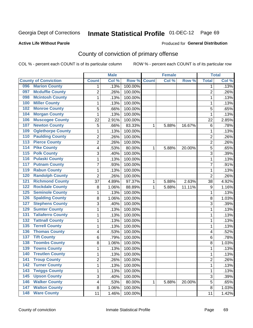### **Active Life Without Parole**

### Produced for **General Distribution**

## County of conviction of primary offense

|                  |                             |                         | <b>Male</b> |                  |              | <b>Female</b> |        |                | <b>Total</b> |
|------------------|-----------------------------|-------------------------|-------------|------------------|--------------|---------------|--------|----------------|--------------|
|                  | <b>County of Conviction</b> | <b>Count</b>            | Col %       | Row <sup>%</sup> | <b>Count</b> | Col %         | Row %  | <b>Total</b>   | Col %        |
| 096              | <b>Marion County</b>        | 1                       | .13%        | 100.00%          |              |               |        | 1              | .13%         |
| 097              | <b>Mcduffie County</b>      | $\overline{2}$          | .26%        | 100.00%          |              |               |        | $\overline{2}$ | .26%         |
| 098              | <b>Mcintosh County</b>      | 1                       | .13%        | 100.00%          |              |               |        | 1              | .13%         |
| 100              | <b>Miller County</b>        | 1                       | .13%        | 100.00%          |              |               |        | 1              | .13%         |
| 102              | <b>Monroe County</b>        | 5                       | .66%        | 100.00%          |              |               |        | 5              | .65%         |
| 104              | <b>Morgan County</b>        | 1                       | .13%        | 100.00%          |              |               |        | 1              | .13%         |
| 106              | <b>Muscogee County</b>      | 22                      | 2.91%       | 100.00%          |              |               |        | 22             | 2.85%        |
| 107              | <b>Newton County</b>        | 5                       | .66%        | 83.33%           | 1            | 5.88%         | 16.67% | 6              | .78%         |
| 109              | <b>Oglethorpe County</b>    | 1                       | .13%        | 100.00%          |              |               |        | 1              | .13%         |
| 110              | <b>Paulding County</b>      | 2                       | .26%        | 100.00%          |              |               |        | $\overline{2}$ | .26%         |
| $\overline{113}$ | <b>Pierce County</b>        | $\overline{2}$          | .26%        | 100.00%          |              |               |        | $\overline{2}$ | .26%         |
| 114              | <b>Pike County</b>          | 4                       | .53%        | 80.00%           | 1            | 5.88%         | 20.00% | 5              | .65%         |
| $\overline{115}$ | <b>Polk County</b>          | 3                       | .40%        | 100.00%          |              |               |        | 3              | .39%         |
| 116              | <b>Pulaski County</b>       | 1                       | .13%        | 100.00%          |              |               |        | $\mathbf{1}$   | .13%         |
| 117              | <b>Putnam County</b>        | $\overline{7}$          | .93%        | 100.00%          |              |               |        | $\overline{7}$ | .91%         |
| 119              | <b>Rabun County</b>         | 1                       | .13%        | 100.00%          |              |               |        | 1              | .13%         |
| 120              | <b>Randolph County</b>      | $\overline{2}$          | .26%        | 100.00%          |              |               |        | $\overline{2}$ | .26%         |
| $\overline{121}$ | <b>Richmond County</b>      | 37                      | 4.89%       | 97.37%           | 1            | 5.88%         | 2.63%  | 38             | 4.92%        |
| 122              | <b>Rockdale County</b>      | 8                       | 1.06%       | 88.89%           | 1            | 5.88%         | 11.11% | 9              | 1.16%        |
| 125              | <b>Seminole County</b>      | 1                       | .13%        | 100.00%          |              |               |        | 1              | .13%         |
| 126              | <b>Spalding County</b>      | 8                       | 1.06%       | 100.00%          |              |               |        | 8              | 1.03%        |
| 127              | <b>Stephens County</b>      | 3                       | .40%        | 100.00%          |              |               |        | 3              | .39%         |
| 129              | <b>Sumter County</b>        | 1                       | .13%        | 100.00%          |              |               |        | 1              | .13%         |
| 131              | <b>Taliaferro County</b>    | 1                       | .13%        | 100.00%          |              |               |        | 1              | .13%         |
| 132              | <b>Tattnall County</b>      | 1                       | .13%        | 100.00%          |              |               |        | 1              | .13%         |
| 135              | <b>Terrell County</b>       | 1                       | .13%        | 100.00%          |              |               |        | 1              | .13%         |
| 136              | <b>Thomas County</b>        | 4                       | .53%        | 100.00%          |              |               |        | 4              | .52%         |
| 137              | <b>Tift County</b>          | 6                       | .79%        | 100.00%          |              |               |        | 6              | .78%         |
| 138              | <b>Toombs County</b>        | 8                       | 1.06%       | 100.00%          |              |               |        | 8              | 1.03%        |
| 139              | <b>Towns County</b>         | 1                       | .13%        | 100.00%          |              |               |        | 1              | .13%         |
| 140              | <b>Treutlen County</b>      | 1                       | .13%        | 100.00%          |              |               |        | 1              | .13%         |
| 141              | <b>Troup County</b>         | $\overline{\mathbf{c}}$ | .26%        | 100.00%          |              |               |        | 2              | .26%         |
| 142              | <b>Turner County</b>        | 1                       | .13%        | 100.00%          |              |               |        | $\mathbf{1}$   | .13%         |
| $\overline{143}$ | <b>Twiggs County</b>        | 1                       | .13%        | 100.00%          |              |               |        | $\mathbf{1}$   | .13%         |
| $\overline{145}$ | <b>Upson County</b>         | 3                       | .40%        | 100.00%          |              |               |        | 3              | .39%         |
| 146              | <b>Walker County</b>        | 4                       | .53%        | 80.00%           | 1            | 5.88%         | 20.00% | 5              | .65%         |
| 147              | <b>Walton County</b>        | 8                       | 1.06%       | 100.00%          |              |               |        | 8              | 1.03%        |
| $\overline{148}$ | <b>Ware County</b>          | 11                      | 1.46%       | 100.00%          |              |               |        | 11             | 1.42%        |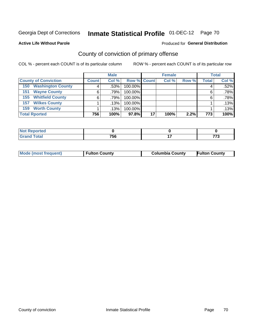### **Active Life Without Parole**

## Produced for **General Distribution**

## County of conviction of primary offense

|                                 |                      | <b>Male</b> |                    |      | <b>Female</b> |       |              | <b>Total</b> |
|---------------------------------|----------------------|-------------|--------------------|------|---------------|-------|--------------|--------------|
| <b>County of Conviction</b>     | <b>Count</b>         | Col %       | <b>Row % Count</b> |      | Col %         | Row % | <b>Total</b> | Col %        |
| <b>Washington County</b><br>150 |                      | .53%        | 100.00%            |      |               |       |              | .52%         |
| <b>Wayne County</b><br>151      | 6                    | .79%        | 100.00%            |      |               |       | 6            | $.78\%$      |
| <b>Whitfield County</b><br>155  | 6                    | $.79\%$     | 100.00%            |      |               |       | 6            | $.78\%$      |
| <b>Wilkes County</b><br>157     |                      | $.13\%$     | 100.00%            |      |               |       |              | .13%         |
| <b>Worth County</b><br>159      |                      | .13%        | 100.00%            |      |               |       |              | .13%         |
| <b>Total Rported</b>            | 756<br>97.8%<br>100% |             | 17                 | 100% | 2.2%          | 773   | 100%         |              |

| <b>A</b> = =<br>onter |     |                     |  |
|-----------------------|-----|---------------------|--|
| <b>otal</b><br>$\sim$ | 756 | $\bullet$ $\bullet$ |  |

| <b>Mode (most frequent)</b> | <b>Fulton County</b> | <b>Columbia County</b> | <b>Fulton County</b> |
|-----------------------------|----------------------|------------------------|----------------------|
|-----------------------------|----------------------|------------------------|----------------------|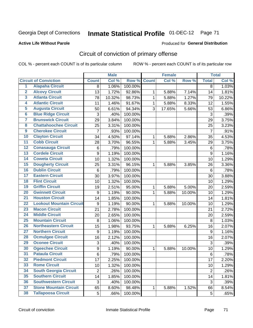**Active Life Without Parole** 

### Produced for **General Distribution**

## Circuit of conviction of primary offense

|                         |                                 |                | <b>Male</b> |         |              | <b>Female</b> |        |                  | <b>Total</b> |
|-------------------------|---------------------------------|----------------|-------------|---------|--------------|---------------|--------|------------------|--------------|
|                         | <b>Circuit of Conviction</b>    | <b>Count</b>   | Col %       | Row %   | <b>Count</b> | Col %         | Row %  | <b>Total</b>     | Col %        |
| $\overline{1}$          | <b>Alapaha Circuit</b>          | 8              | 1.06%       | 100.00% |              |               |        | 8                | 1.03%        |
| $\overline{2}$          | <b>Alcovy Circuit</b>           | 13             | 1.72%       | 92.86%  | 1            | 5.88%         | 7.14%  | 14               | 1.81%        |
| $\overline{\mathbf{3}}$ | <b>Atlanta Circuit</b>          | 78             | 10.32%      | 98.73%  | $\mathbf{1}$ | 5.88%         | 1.27%  | 79               | 10.22%       |
| 4                       | <b>Atlantic Circuit</b>         | 11             | 1.46%       | 91.67%  | 1            | 5.88%         | 8.33%  | 12               | 1.55%        |
| 5                       | <b>Augusta Circuit</b>          | 50             | 6.61%       | 94.34%  | 3            | 17.65%        | 5.66%  | 53               | 6.86%        |
| $6\phantom{a}$          | <b>Blue Ridge Circuit</b>       | 3              | .40%        | 100.00% |              |               |        | 3                | .39%         |
| 7                       | <b>Brunswick Circuit</b>        | 29             | 3.84%       | 100.00% |              |               |        | 29               | 3.75%        |
| 8                       | <b>Chattahoochee Circuit</b>    | 25             | 3.31%       | 100.00% |              |               |        | 25               | 3.23%        |
| $\overline{9}$          | <b>Cherokee Circuit</b>         | $\overline{7}$ | .93%        | 100.00% |              |               |        | $\overline{7}$   | .91%         |
| 10                      | <b>Clayton Circuit</b>          | 34             | 4.50%       | 97.14%  | 1            | 5.88%         | 2.86%  | 35               | 4.53%        |
| $\overline{11}$         | <b>Cobb Circuit</b>             | 28             | 3.70%       | 96.55%  | 1            | 5.88%         | 3.45%  | 29               | 3.75%        |
| $\overline{12}$         | <b>Conasauga Circuit</b>        | 6              | .79%        | 100.00% |              |               |        | $\,6$            | .78%         |
| $\overline{13}$         | <b>Cordele Circuit</b>          | 9              | 1.19%       | 100.00% |              |               |        | 9                | 1.16%        |
| 14                      | <b>Coweta Circuit</b>           | 10             | 1.32%       | 100.00% |              |               |        | 10               | 1.29%        |
| 15                      | <b>Dougherty Circuit</b>        | 25             | 3.31%       | 96.15%  | 1            | 5.88%         | 3.85%  | 26               | 3.36%        |
| 16                      | <b>Dublin Circuit</b>           | $\,6$          | .79%        | 100.00% |              |               |        | 6                | .78%         |
| 17                      | <b>Eastern Circuit</b>          | 30             | 3.97%       | 100.00% |              |               |        | 30               | 3.88%        |
| 18                      | <b>Flint Circuit</b>            | 10             | 1.32%       | 100.00% |              |               |        | 10               | 1.29%        |
| 19                      | <b>Griffin Circuit</b>          | 19             | 2.51%       | 95.00%  | 1            | 5.88%         | 5.00%  | 20               | 2.59%        |
| 20                      | <b>Gwinnett Circuit</b>         | 9              | 1.19%       | 90.00%  | 1            | 5.88%         | 10.00% | 10               | 1.29%        |
| $\overline{21}$         | <b>Houston Circuit</b>          | 14             | 1.85%       | 100.00% |              |               |        | 14               | 1.81%        |
| $\overline{22}$         | <b>Lookout Mountain Circuit</b> | 9              | 1.19%       | 90.00%  | $\mathbf 1$  | 5.88%         | 10.00% | 10               | 1.29%        |
| 23                      | <b>Macon Circuit</b>            | 21             | 2.78%       | 100.00% |              |               |        | 21               | 2.72%        |
| $\overline{24}$         | <b>Middle Circuit</b>           | 20             | 2.65%       | 100.00% |              |               |        | 20               | 2.59%        |
| $\overline{25}$         | <b>Mountain Circuit</b>         | 8              | 1.06%       | 100.00% |              |               |        | 8                | 1.03%        |
| 26                      | <b>Northeastern Circuit</b>     | 15             | 1.98%       | 93.75%  | $\mathbf 1$  | 5.88%         | 6.25%  | 16               | 2.07%        |
| $\overline{27}$         | <b>Northern Circuit</b>         | 9              | 1.19%       | 100.00% |              |               |        | $\boldsymbol{9}$ | 1.16%        |
| 28                      | <b>Ocmulgee Circuit</b>         | 16             | 2.12%       | 100.00% |              |               |        | 16               | 2.07%        |
| 29                      | <b>Oconee Circuit</b>           | 3              | .40%        | 100.00% |              |               |        | 3                | .39%         |
| 30                      | <b>Ogeechee Circuit</b>         | 9              | 1.19%       | 90.00%  | $\mathbf 1$  | 5.88%         | 10.00% | 10               | 1.29%        |
| $\overline{31}$         | <b>Pataula Circuit</b>          | 6              | .79%        | 100.00% |              |               |        | 6                | .78%         |
| 32                      | <b>Piedmont Circuit</b>         | 17             | 2.25%       | 100.00% |              |               |        | 17               | 2.20%        |
| 33                      | <b>Rome Circuit</b>             | 10             | 1.32%       | 100.00% |              |               |        | 10               | 1.29%        |
| 34                      | <b>South Georgia Circuit</b>    | $\overline{2}$ | .26%        | 100.00% |              |               |        | $\overline{2}$   | .26%         |
| 35                      | <b>Southern Circuit</b>         | 14             | 1.85%       | 100.00% |              |               |        | 14               | 1.81%        |
| 36                      | <b>Southwestern Circuit</b>     | 3              | .40%        | 100.00% |              |               |        | 3                | .39%         |
| 37                      | <b>Stone Mountain Circuit</b>   | 65             | 8.60%       | 98.48%  | 1            | 5.88%         | 1.52%  | 66               | 8.54%        |
| 38                      | <b>Tallapoosa Circuit</b>       | 5              | .66%        | 100.00% |              |               |        | 5                | .65%         |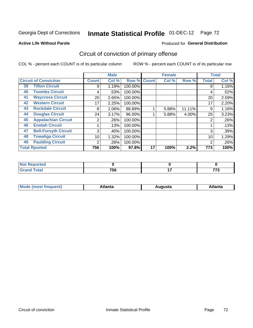### **Active Life Without Parole**

## Produced for **General Distribution**

## Circuit of conviction of primary offense

|                      |                              |              | <b>Male</b> |         |              | <b>Female</b> |        |              | <b>Total</b> |
|----------------------|------------------------------|--------------|-------------|---------|--------------|---------------|--------|--------------|--------------|
|                      | <b>Circuit of Conviction</b> | <b>Count</b> | Col %       | Row %   | <b>Count</b> | Col %         | Row %  | <b>Total</b> | Col %        |
| 39                   | <b>Tifton Circuit</b>        | 9            | 1.19%       | 100.00% |              |               |        | 9            | 1.16%        |
| 40                   | <b>Toombs Circuit</b>        | 4            | .53%        | 100.00% |              |               |        | 4            | .52%         |
| 41                   | <b>Waycross Circuit</b>      | 20           | 2.65%       | 100.00% |              |               |        | 20           | 2.59%        |
| 42                   | <b>Western Circuit</b>       | 17           | 2.25%       | 100.00% |              |               |        | 17           | 2.20%        |
| 43                   | <b>Rockdale Circuit</b>      | 8            | 1.06%       | 88.89%  |              | 5.88%         | 11.11% | 9            | 1.16%        |
| 44                   | <b>Douglas Circuit</b>       | 24           | 3.17%       | 96.00%  |              | 5.88%         | 4.00%  | 25           | 3.23%        |
| 45                   | <b>Appalachian Circuit</b>   | 2            | .26%        | 100.00% |              |               |        | 2            | .26%         |
| 46                   | <b>Enotah Circuit</b>        |              | .13%        | 100.00% |              |               |        |              | .13%         |
| 47                   | <b>Bell-Forsyth Circuit</b>  | 3            | .40%        | 100.00% |              |               |        | 3            | .39%         |
| 48                   | <b>Towaliga Circuit</b>      | 10           | 1.32%       | 100.00% |              |               |        | 10           | 1.29%        |
| 49                   | <b>Paulding Circuit</b>      | 2            | .26%        | 100.00% |              |               |        | 2            | .26%         |
| <b>Total Rported</b> |                              | 756          | 100%        | 97.8%   | 17           | 100%          | 2.2%   | 773          | 100%         |

| eported<br>N              |     |    |              |
|---------------------------|-----|----|--------------|
| `otal<br>$\mathbf{v}$ and | 756 | -- | $- - -$<br>. |

| М<br>. In n tr<br>.<br>.<br>wanta<br>Πū<br>31.<br>$\sim$ $\sim$ $\sim$ |
|------------------------------------------------------------------------|
|------------------------------------------------------------------------|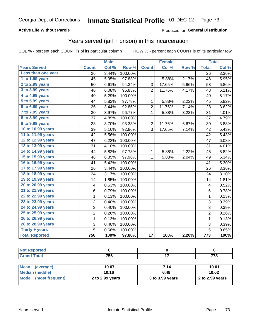### **Active Life Without Parole**

### Produced for **General Distribution**

## Years served (jail + prison) in this incarceration

|                        |                | <b>Male</b> |         |                 | <b>Female</b> |       |                  | <b>Total</b> |
|------------------------|----------------|-------------|---------|-----------------|---------------|-------|------------------|--------------|
| <b>Years Served</b>    | <b>Count</b>   | Col %       | Row %   | <b>Count</b>    | Col %         | Row % | <b>Total</b>     | Col %        |
| Less than one year     | 26             | 3.44%       | 100.00% |                 |               |       | 26               | 3.36%        |
| 1 to 1.99 years        | 45             | 5.95%       | 97.83%  | 1               | 5.88%         | 2.17% | 46               | 5.95%        |
| 2 to 2.99 years        | 50             | 6.61%       | 94.34%  | 3               | 17.65%        | 5.66% | 53               | 6.86%        |
| 3 to 3.99 years        | 46             | 6.08%       | 95.83%  | $\overline{2}$  | 11.76%        | 4.17% | 48               | 6.21%        |
| 4 to 4.99 years        | 40             | 5.29%       | 100.00% |                 |               |       | 40               | 5.17%        |
| 5 to 5.99 years        | 44             | 5.82%       | 97.78%  | 1               | 5.88%         | 2.22% | 45               | 5.82%        |
| 6 to 6.99 years        | 26             | 3.44%       | 92.86%  | $\mathbf 2$     | 11.76%        | 7.14% | 28               | 3.62%        |
| 7 to 7.99 years        | 30             | 3.97%       | 96.77%  | $\mathbf{1}$    | 5.88%         | 3.23% | 31               | 4.01%        |
| <b>8 to 8.99 years</b> | 37             | 4.89%       | 100.00% |                 |               |       | 37               | 4.79%        |
| 9 to 9.99 years        | 28             | 3.70%       | 93.33%  | $\overline{2}$  | 11.76%        | 6.67% | 30               | 3.88%        |
| 10 to 10.99 years      | 39             | 5.16%       | 92.86%  | 3               | 17.65%        | 7.14% | 42               | 5.43%        |
| 11 to 11.99 years      | 42             | 5.56%       | 100.00% |                 |               |       | 42               | 5.43%        |
| 12 to 12.99 years      | 47             | 6.22%       | 100.00% |                 |               |       | 47               | 6.08%        |
| 13 to 13.99 years      | 31             | 4.10%       | 100.00% |                 |               |       | 31               | 4.01%        |
| 14 to 14.99 years      | 44             | 5.82%       | 97.78%  | 1               | 5.88%         | 2.22% | 45               | 5.82%        |
| 15 to 15.99 years      | 48             | 6.35%       | 97.96%  | 1               | 5.88%         | 2.04% | 49               | 6.34%        |
| 16 to 16.99 years      | 41             | 5.42%       | 100.00% |                 |               |       | 41               | 5.30%        |
| 17 to 17.99 years      | 26             | 3.44%       | 100.00% |                 |               |       | 26               | 3.36%        |
| 18 to 18.99 years      | 24             | 3.17%       | 100.00% |                 |               |       | 24               | 3.10%        |
| 19 to 19.99 years      | 14             | 1.85%       | 100.00% |                 |               |       | 14               | 1.81%        |
| 20 to 20.99 years      | 4              | 0.53%       | 100.00% |                 |               |       | 4                | 0.52%        |
| 21 to 21.99 years      | 6              | 0.79%       | 100.00% |                 |               |       | $\,6$            | 0.78%        |
| 22 to 22.99 years      | $\mathbf 1$    | 0.13%       | 100.00% |                 |               |       | $\mathbf 1$      | 0.13%        |
| 23 to 23.99 years      | 3              | 0.40%       | 100.00% |                 |               |       | 3                | 0.39%        |
| 24 to 24.99 years      | 3              | 0.40%       | 100.00% |                 |               |       | 3                | 0.39%        |
| 25 to 25.99 years      | 2              | 0.26%       | 100.00% |                 |               |       | 2                | 0.26%        |
| 26 to 26.99 years      | 1              | 0.13%       | 100.00% |                 |               |       | $\mathbf 1$      | 0.13%        |
| 28 to 28.99 years      | $\overline{3}$ | 0.40%       | 100.00% |                 |               |       | 3                | 0.39%        |
| Thirty + years         | $\overline{5}$ | 0.66%       | 100.00% |                 |               |       | $\overline{5}$   | 0.65%        |
| <b>Total Reported</b>  | 756            | 100%        | 97.80%  | $\overline{17}$ | 100%          | 2.20% | $\overline{773}$ | 100%         |

| Reported                         |     |     |
|----------------------------------|-----|-----|
| <b>Total</b><br>$\mathbf{v}$ and | 756 | --- |

| <b>Mean</b><br>(average) | 10.07           | 7.14            | 10.01             |
|--------------------------|-----------------|-----------------|-------------------|
| Median (middle)          | 10.16           | 6.48            | 10.02             |
| Mode (most frequent)     | 2 to 2.99 years | 3 to 3.99 years | 2 to $2.99$ years |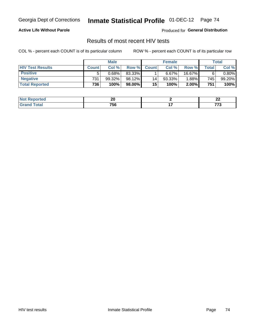#### **Active Life Without Parole**

Produced for **General Distribution**

## Results of most recent HIV tests

|                         | <b>Male</b>  |        |           | <b>Female</b> |        |          | Total       |           |
|-------------------------|--------------|--------|-----------|---------------|--------|----------|-------------|-----------|
| <b>HIV Test Results</b> | <b>Count</b> | Col%   | Row %I    | <b>Count</b>  | Col%   | Row %    | $\tau$ otal | Col %     |
| <b>Positive</b>         | 5            | 0.68%  | 83.33%    |               | 6.67%  | 16.67%   | 6           | $0.80\%$  |
| <b>Negative</b>         | 731          | 99.32% | 98.12%    | 14            | 93.33% | $1.88\%$ | 745         | $99.20\%$ |
| <b>Total Reported</b>   | 736          | 100%   | $98.00\%$ | 15            | 100%   | 2.00%    | 751         | 100%      |

| <b>Not Reported</b> | m<br>Ζu | n,<br>--   |
|---------------------|---------|------------|
| iota'<br>. сем      | 756     | ---<br>,,, |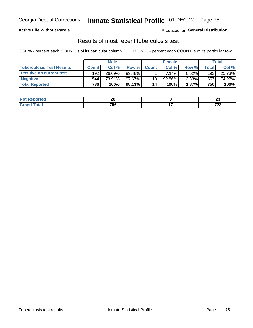### **Active Life Without Parole**

Produced for **General Distribution**

## Results of most recent tuberculosis test

|                                  |              | <b>Male</b> |           |              | <b>Female</b> |          |         | Total  |
|----------------------------------|--------------|-------------|-----------|--------------|---------------|----------|---------|--------|
| <b>Tuberculosis Test Results</b> | <b>Count</b> | Col%        | Row %I    | <b>Count</b> | Col%          | Row %    | ⊤otal ⊧ | Col %  |
| <b>Positive on current test</b>  | 192          | 26.09%      | $99.48\%$ |              | 7.14%         | 0.52%    | 193     | 25.73% |
| <b>Negative</b>                  | 544          | 73.91%      | $97.67\%$ | 13           | $92.86\%$     | $2.33\%$ | 557     | 74.27% |
| <b>Total Reported</b>            | 736          | 100%        | 98.13%    | 14           | 100%          | 1.87%    | 750     | 100%   |

| <b>Not Reported</b> | ኅለ<br>ZU  | <br>--        |
|---------------------|-----------|---------------|
| <b>c</b> otal       | 756<br>__ | ---<br>$\sim$ |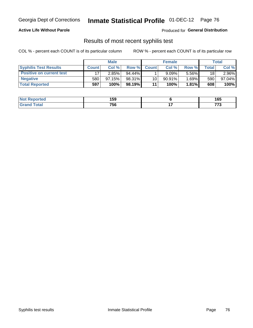### **Active Life Without Parole**

Produced for **General Distribution**

## Results of most recent syphilis test

|                                 | <b>Male</b>  |           |           | <b>Female</b> |           |          | Total |        |
|---------------------------------|--------------|-----------|-----------|---------------|-----------|----------|-------|--------|
| <b>Syphilis Test Results</b>    | <b>Count</b> | Col %     | Row %     | <b>Count</b>  | Col %     | Row %I   | Total | Col %  |
| <b>Positive on current test</b> |              | 2.85%     | $94.44\%$ |               | 9.09%     | 5.56%    | 18    | 2.96%  |
| <b>Negative</b>                 | 580          | $97.15\%$ | 98.31%    | 10            | $90.91\%$ | $1.69\%$ | 590   | 97.04% |
| <b>Total Reported</b>           | 597          | 100%      | 98.19%    | 11            | 100%      | $1.81\%$ | 608   | 100%   |

| <b>Not Reported</b> | 159 | 165           |
|---------------------|-----|---------------|
| <b>Total</b>        | 756 | ---<br>$\sim$ |